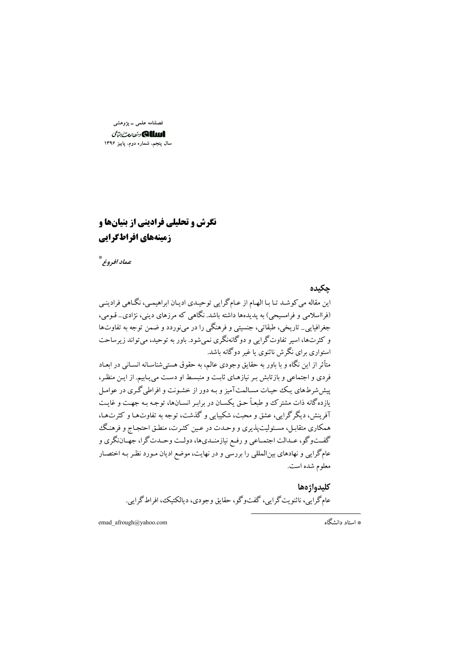فصلنامه علمي \_ پژوهشي الللك ونطارت بتأى سال پنجم، شماره دوم، پاییز ۱۳۹۶

# **نگرش و تحلیلی فرادینی از بنیانها و** زمینههای افراطگرایی

عماد افروغر\*

حكىدە این مقاله می کوشد تـا بـا الهـام از عـام گرایی توحیـدی ادیـان ابراهیمـی، نگـاهی فرادینـی (فرااسلامی و فرامسیحی) به پدیدهها داشته باشد. نگاهی که مرزهای دینی، نژادی\_ قـومی، جغرافیایی\_ تاریخی، طبقاتی، جنسیتی و فرهنگی را در می;وردد و ضمن توجه به تفاوتها و کثرتها، اسير تفاوتگرايي و دوگانهنگري نمي شود. باور به توحيد، مي تواند زير ساحت استواری برای نگرش ناثنوی با غیر دوگانه باشد. متأثر از این نگاه و با باور به حقایق وجودی عالم، به حقوق هستیشناسـانه انسـانی در ابعـاد فردی و اجتماعی و بازتابش به نیازهای ثابت و منبسط او دست می پاییم. از این منظر، پیش شرطهای یک حیات مسالمتآمیز و بـه دور از خشـونت و افراطی گـری در عوامـل یازده گانه ذات مشترک و طبعـاً حـق یکسـان در برابـر انسـانها، توجـه بـه جهـت و غایـت آفرینش، دیگر گرایی، عشق و محت، شکیبایی و گذشت، توجه به تفاوتها و کثرتها، همکاري متقابـل، مسـئوليتيذيري و وحـدت در عـين کثـرت، منطـق احتجـاج و فرهنـگ گفــتوگو، عــدالت اجتمــاعي و رفـع نيازمنــدي۱ه، دولــت وحــدتگرا، جهــاننگري و عام گرایی و نهادهای بینالمللی را بررسی و در نهایت، موضع ادیان مـورد نظـر بـه اختصـار معلوم شده است.

> كليدواؤهها عام گرايي، ناثنويت گرايي، گفتو گو، حقايق وجودي، ديالکتيک، افراط گرايي.

emad\_afrough@yahoo.com

\* استاد دانشگاه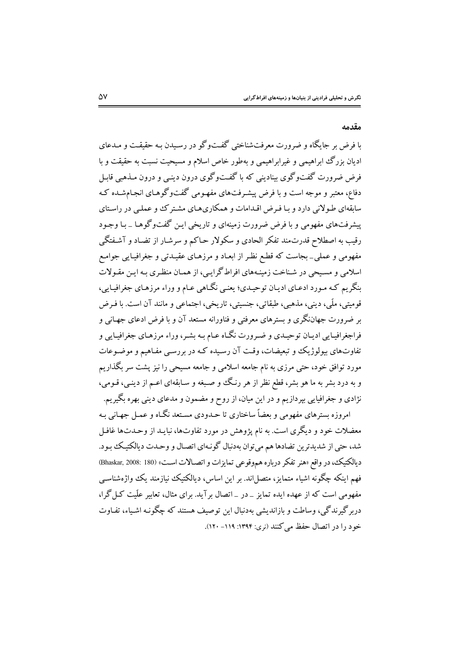#### مقدمه

با فرض بر جایگاه و ضرورت معرفتشناختی گفتوگو در رسیدن بـه حقیقـت و مـدعای ادیان بزرگ ابراهیمی و غیرابراهیمی و بهطور خاص اسلام و مسیحیت نسبت به حقیقت و با فرض ضرورت گفتوگوی بینادینی که با گفتوگوی درون دینبی و درون مـذهبی قابـل دفاع، معتبر و موجه است و با فرض پیشـرفتهای مفهـومی گفتوگوهـای انجـامشـده کـه سابقهای طـولانی دارد و بـا فـرض اقـدامات و همکاریهـای مشـتر کـُ و عملـی در راسـتای پیشرفتهای مفهومی و با فرض ضرورت زمینهای و تاریخی ایـن گفتوگوهـا ــ بـا وجـود رقیب به اصطلاح قدرتمند تفکر الحادی و سکولار حـاکم و سرشـار از تضـاد و آشـفتگی مفهومی و عملی\_ بجاست که قطع نظـر از ابعـاد و مرزهـای عقیـدتی و جغرافیـایی جوامـع اسلامی و مسیحی در شناخت زمینههای افراطگرایی، از همان منظری بـه ایـن مقـولات بنگريم كـه مـورد ادعـاي اديـان توحيـدي؛ يعنـي نگـاهي عـام و وراء مرزهـاي جغرافيـايي، قومیتی، ملّی، دینی، مذهبی، طبقاتی، جنسیتی، تاریخی، اجتماعی و مانند آن است. با فـرض بر ضرورت جهاننگری و بسترهای معرفتی و فناورانه مستعد آن و با فرض ادعای جهـانی و فراجغرافیـایی ادیـان توحیـدی و ضـرورت نگـاه عـام بـه بشـر، وراء مرزهـای جغرافیـایی و تفاوتهای بیولوژیک و تبعیضات، وقت آن رسیده کـه در بررسـی مفـاهیم و موضـوعات مورد توافق خود، حتی مرزی به نام جامعه اسلامی و جامعه مسیحی را نیز پشت سر بگذاریم و به درد بشر به ما هو بشر، قطع نظر از هر رنگ و صـبغه و سـابقهای اعـم از دینـی، قـومی، نژادي و جغرافيايي بپردازيم و در اين ميان، از روح و مضمون و مدعاي ديني بهره بگيريم.

امروزه بسترهای مفهومی و بعضاً ساختاری تا حـدودی مسـتعد نگـاه و عمـل جهـانی بـه معضلات خود و دیگری است. به نام پژوهش در مورد تفاوتها، نبایـد از وحـدتها غافـل شد، حتی از شدیدترین تضادها هم میتوان بهدنبال گونـهای اتصـال و وحـدت دیالکتیـک بـود. ديالكتيك، در واقع «هنر تفكر درباره هم وقوعي تمايزات و اتصـالات اسـت» (Bhaskar, 2008: 180) فهم اینکه چگونه اشیاء متمایز، متصل!ند. بر این اساس، دیالکتیک نیازمند یک واژهشناسبی مفهومی است که از عهده ایده تمایز \_در \_اتصال بر آید. برای مثال، تعاییر علّیت کیل گرا، دربرگیرندگی، وساطت و بازاندیشی بهدنبال این توصیف هستند که چگونـه اشـیاء، تفـاوت خود را در اتصال حفظ می کنند (نری: ۱۳۹۴: ۱۱۹- ۱۲۰).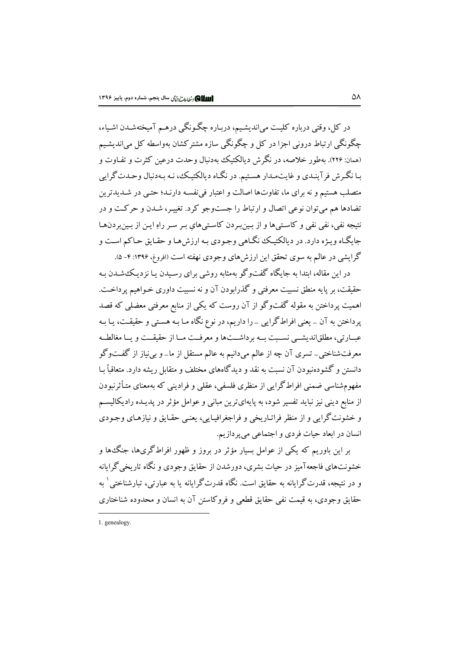در کل، وقتي درباره کليـت مي|نديشـيم، دربـاره چگـونگي درهـم آميختهشـدن اشـياء، ۔<br>جگونگے ٖارتباط درونی اجزا در کل و چگونگی سازہ مشترکشان بهواسطه کل میاندیشـیم (همان: ۲۲۶). پهطور خلاصه، در نگرش دیالکتیک پهدنیال وحدت درعین کثرت و تفـاوت و بـا نگـرش فر آينـدي و غايت٠مـدار هسـتيم. در نگـاه ديالکتيـک، نـه بـهدنبال وحـدت گرايي .<br>متصلب هستیم و نه برای ما، تفاوتها اصالت و اعتبار فی نفسه دارنید؛ حتبی در شیدیدترین تضادها هم مي توان نوعي اتصال و ارتباط را جستوجو كرد. تغييـر، شـدن و حركـت و در .<br>نتیجه نفی، نفی نفی و کاسـتیها و از بـین بـردن کاسـتیهایٖ بـر سـر راهِ ایـن از بـین بردن هـا جایگـاه ویـژه دارد. در دیالکتیـک نگـاهی وجـودی پـه ارزش هـا و حقـایق حـاکم اسـت و گرایشی در عالم به سوی تحقق این ارزش های وجودی نهفته است (افروغ، ۱۳۹۶: ۴- ۵).

در این مقاله، ابتدا به جایگاه گفتوگو بهمثابه روشی برای رسیدن یـا نزدیـک،شـدن بـه حقیقت، بر پایه منطق نسبیت معرفتی و گذرابودن آن و نه نسبیت داوری خـواهیم پرداخـت. اهمیت پرداختن به مقوله گفتوگو از آن روست که یکی از منابع معرفتی معضلی که قصد یرداختن به آن \_ یعنی افراطگرایی \_ را داریم، در نوع نگاه مـا بـه هسـتی و حقیقـت، یـا بـه عبــارتي، مطلقانديشــي نســبت بــه برداشــتها و معرفــت مــا از حقيقــت و يــا مغالطــه معرفتشناختی\_ تسری آن چه از عالم میدانیم به عالم مستقل از ما\_و بی نیاز از گفتوگو دانستن و گشودهنبودن آن نسبت به نقد و دیدگاههای مختلف و متقابل ریشه دارد. متعاقباً بـا مفهومشناسی ضمنی افراط گرایی از منظری فلسفی، عقلی و فرادینی که بهمعنای متـأثرنبودن از منابع دینی نیز نباید تفسیر شود، به پایهایترین مبانی و عوامل مؤثر در پدیـده رادیکالیسـم و خشونت گرایی و از منظر فراتـاریخی و فراجغرافیـایی، یعنـی حقـایق و نیازهـای وجـودی انسان در ابعاد حیات فردی و اجتماعی میپردازیم.

بر این باوریم که یکی از عوامل بسیار مؤثر در بروز و ظهور افراط گریها، جنگءا و خشونتهای فاجعهآمیز در حیات بشری، دورشدن از حقایق وجودی و نگاه تاریخی گرایانه و در نتیجه، قدرت گرایانه به حقایق است. نگاه قدرت گرایانه با به عبارت<sub>ی</sub>، تبارشناخت<sub>ی</sub> <sup>۱</sup> به حقايق وجودي، به قيمت نفي حقايق قطعي و فروكاستن آن به انسان و محدوده شناختاري

<sup>1.</sup> genealogy.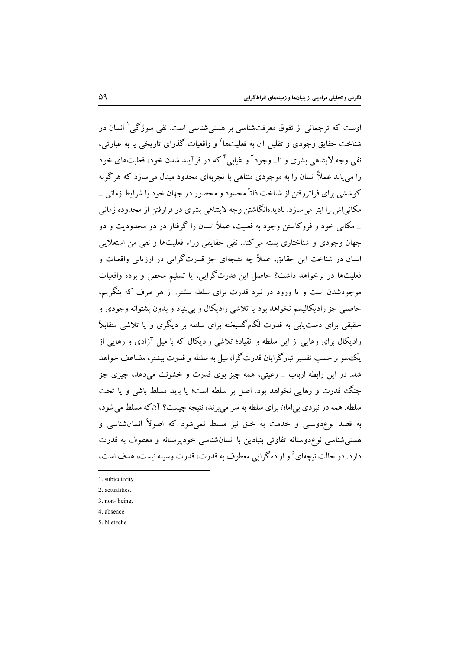اوست که ترجمانی از تفوق معرفتشناسی بر هستی شناسی است. نفی سوژگی  $\langle$  انسان در شناخت حقایق وجودی و تقلیل آن به فعلیتها<sup>۲</sup> و واقعیات گذرای تاریخی یا به عبارتی، نفي وجه لايتناهي بشري و نا\_وجود ّ و غيابي أكه در فرآيند شدن خود، فعليتهاي خود را می پابد عملاً انسان را به موجودی متناهی با تجربهای محدود مبدل می سازد که هرگونه کوششی برای فراتررفتن از شناخت ذاتاً محدود و محصور در جهان خود یا شرایط زمانی \_ مکانی اش را ابتر می سازد. نادیدهانگاشتن وجه لایتناهی بشری در فرارفتن از محدوده زمانی \_ مکانی خود و فروکاستن وجود به فعلیت، عملاً انسان را گرفتار در دو محدودیت و دو جهان وجودی و شناختاری بسته می کند. نقی حقایقی وراء فعلیتها و نفی من استعلایی انسان در شناخت این حقایق، عملاً چه نتیجهای جز قدرت گرایی در ارزیابی واقعیات و فعلیتها در برخواهد داشت؟ حاصل این قدرتگرایی، یا تسلیم محض و برده واقعیات موجودشدن است و یا ورود در نبرد قدرت برای سلطه بیشتر. از هر طرف که بنگریم، حاصلي جز راديکاليسم نخواهد بود يا تلاشي راديکال و بي بنياد و بدون پشتوانه وجودي و حقیقی برای دست یابی به قدرت لگامگسیخته برای سلطه بر دیگری و یا تلاشی متقابلاً رادیکال برای رهایی از این سلطه و انقیاد؛ تلاشی رادیکال که با میل آزادی و رهایی از بک سو و حسب تفسیر تبارگرایان قدرتگرا، میل به سلطه و قدرت بیشتر، مضاعف خواهد شد. در این رابطه ارباب \_ رعیتی، همه چیز بوی قدرت و خشونت میدهد، چیزی جز جنگ قدرت و رهایی نخواهد بود. اصل بر سلطه است؛ یا باید مسلط باشی و یا تحت سلطه. همه در نبردی بی|مان برای سلطه به سر میبرند، نتیجه چیست؟ آن که مسلط می شود، به قصد نوعٖدوستی و خدمت به خلق نیز مسلط نمی شود که اصولاً انسانشناسی و هستی شناسی نوع دوستانه تفاوتی بنیادین با انسان شناسی خودیرستانه و معطوف به قدرت دارد. در حالت نیچهای <sup>۵</sup> و اراده گرایی معطوف به قدرت، قدرت وسیله نیست، هدف است،

1. subjectivity

- 4. absence
- 5 Nietzche

<sup>2.</sup> actualities.

<sup>3.</sup> non-being.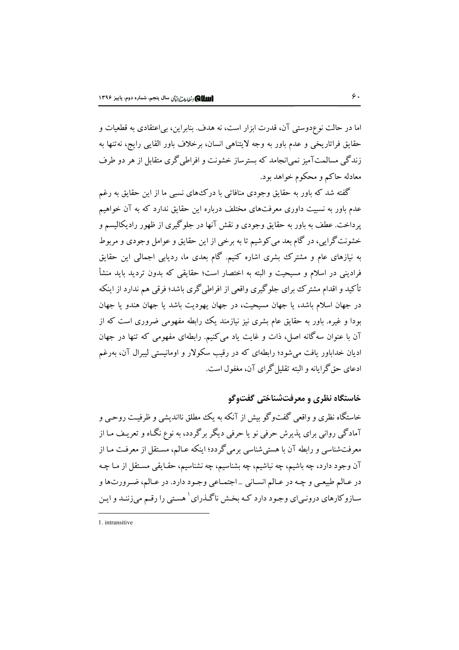اما در حالت نوعٖدوستی آن، قدرت ابزار است، نه هدف. بنابراین، بیاعتقادی به قطعیات و حقايق فراتاريخي و عدم باور به وجه لايتناهي انسان، برخلاف باور القايي رايج، نهتنها به زندگی مسالمتآمیز نمی|نجامد که بسترساز خشونت و افراطی گری متقابل از هر دو طرف معادله حاكم و محكوم خواهد بود.

گفته شد که باور به حقایق وجودی منافاتی با درکءهای نسبی ما از این حقایق به رغم عدم باور به نسبیت داوری معرفتهای مختلف درباره این حقایق ندارد که به آن خواهیم یرداخت. عطف به باور به حقایق وجودی و نقش آنها در جلوگیری از ظهور رادیکالیسم و خشونت گرایی، در گام بعد می کوشیم تا به برخی از این حقایق و عوامل وجودی و مربوط به نیازهای عام و مشترک بشری اشاره کنیم. گام بعدی ما، ردیابی اجمالی این حقایق فرادینی در اسلام و مسیحیت و البته به اختصار است؛ حقایقی که بدون تردید باید منشأ تأکید و اقدام مشتر ک برای جلوگیری واقعی از افراطی گری باشد؛ فرقی هم ندارد از اینکه در جهان اسلام باشد، یا جهان مسیحیت، در جهان یهودیت باشد یا جهان هندو یا جهان بودا و غیره. باور به حقایق عام بشری نیز نیازمند یک رابطه مفهومی ضروری است که از .<br>آن با عنوان سهگانه اصل، ذات و غایت یاد میکنیم. رابطهای مفهومی که تنها در جهان ادیان خداباور یافت می شود؛ رابطهای که در رقیب سکولار و اومانیستی لیبرال آن، بهرغم ادعای حق گرامانه و البته تقلیل گرای آن، مغفول است.

## خاستگاه نظری و معرفتشناختی گفتوگو

خاستگاه نظری و واقعی گفتوگو پیش از آنکه به یک مطلق نااندیشی و ظرفیت روحبی و آمادگی روانی برای پذیرش حرفی نو یا حرفی دیگر برگردد، به نوع نگـاه و تعریـف مـا از معرفتشناسی و رابطه آن با هستی شناسی برمی گردد؛ اینکه عـالم، مسـتقل از معرفـت مـا از آن وجود دارد، چه باشیم، چه نباشیم، چه بشناسیم، چه نشناسیم، حقـایقی مسـتقل از مـا چـه در عـالم طبيعـي و چـه در عـالم انسـاني \_اجتمـاعي وجـود دارد. در عـالم، ضـرورتها و سـازوکارهای درونـیای وجـود دارد کـه بخـش ناگـذرای <sup>۱</sup> هسـتی را رقـم می;زننـد و ایـن

<sup>1</sup> intransitive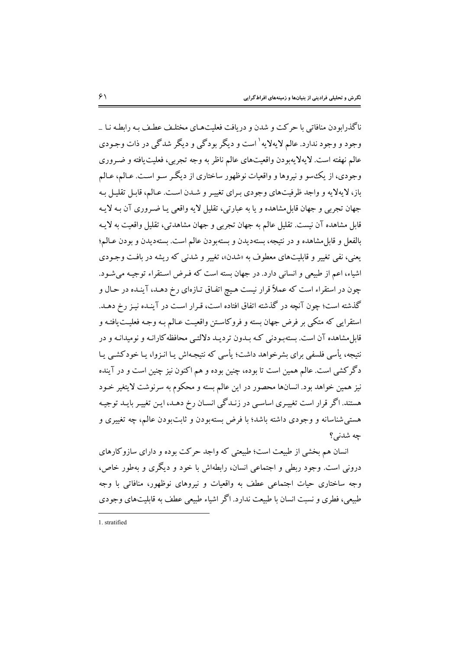ناگذرایودن منافاتی یا جرکت و شدن و در یافت فعلیتههای مختلیف عطیف بیه رابطیه نیا به وجود و وجود ندارد. عالم لایهلایه<sup>۱</sup> است و دیگر بودگی و دیگر شدگی در ذات وجـودی عالم نهفته است. لايهلايهبودن واقعيتهاي عالم ناظر به وجه تجربي، فعليت يافته و ضـروري وجودي، از يک سو و نيروها و واقعيات نوظهور ساختاري از ديگر سـو اسـت. عـالـم، عـالـم باز، لا بهلا به و واجد ظرفتهای وجودی برای تغییر و شـدن است. عـالم، قابـل تقلیـل بـه جهان تجربي و جهان قابل مشاهده و يا به عبارتي، تقليل لايه واقعي يـا ضـروري آن بـه لايـه قابل مشاهده آن نیست. تقلیل عالم به جهان تجربی و جهان مشاهدتی، تقلیل واقعیت به لایـه بالفعل و قابل مشاهده و در نتیجه، بستهدیدن و بسته و دن عالم است. بستهدیدن و بودن عبالم؛ یعنی، نفی تغییر و قابلیتهای معطوف به «شدن»، تغییر و شدنی که ریشه در بافت وجـودی اشياء، اعم از طبيعي و انساني دارد. در جهان بسته است كه فـرض اسـتقراء توجيـه مي شـود. چون در استقراء است که عملاً قرار نیست هیچ اتفاق تـازهای رخ دهـد، آینـده در حـال و گذشته است؛ چون آنچه در گذشته اتفاق افتاده است، قـرار اسـت در آینـده نیـز رخ دهـد. استقرابي كه متكي ير فرض جهان بسته و فرو كاستن واقعيت عبالم بـه وجبه فعليـت بافتـه و قابل مشاهده آن است. بسته و دنی کـه سدون تر دیـد دلالتـی محافظه کارانـه و نومیدانـه و در نتیجه، پأسی فلسفی برای پشرخواهد داشت؛ پأسی که نتیجهاش پیا انیزوا، پیا خودکشبی پیا دگر کشی است. عالم همین است تا بوده، چنین بوده و هم اکنون نیز چنین است و در آینده نیز همین خواهد بود. انسانها محصور در این عالم بسته و محکوم به سرنوشت لایتغیر خـود هستند. اگر قرار است تغییری اساسبی در زنـدگی انسـان رخ دهـد، ایـن تغییـر بایـد توجیـه هستی شناسانه و وجودی داشته باشد؛ با فرض بسته بودن و ثابت بودن عالم، چه تغییری و جه شدني؟

انسان هم بخشی از طبیعت است؛ طبیعتی که واجد حرکت بوده و دارای سازوکارهای درونی است. وجود ربطی و اجتماعی انسان، رابطهاش با خود و دیگری و بهطور خاص، وجه ساختاری حیات اجتماعی عطف به واقعیات و نیروهای نوظهور، منافاتی با وجه طبیعی، فطری و نسبت انسان با طبیعت ندارد. اگر اشیاء طبیعی عطف به قابلیتهای وجودی

<sup>1</sup> stratified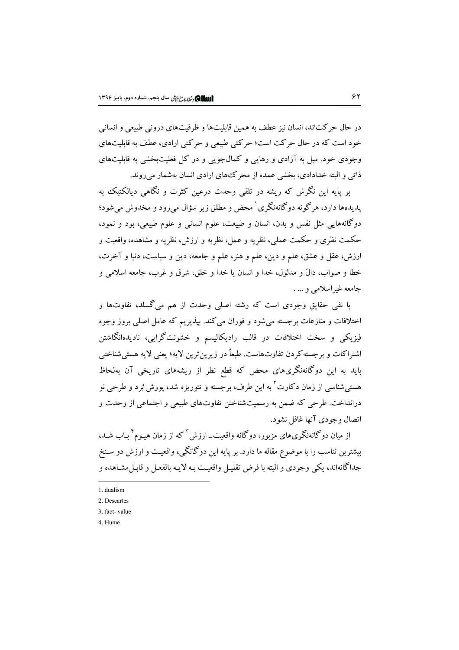در حال حرکتاند، انسان نیز عطف به همین قابلیتها و ظرفیتهای درونی طبیعی و انسانی خود است که در حال حرکت است؛ حرکتی طبیعی و حرکتی ارادی، عطف به قابلیتهای وجودی خود. میل به آزادی و رهایی و کمالجویی و در کل فعلیتبخشی به قابلیتهای ذاتی و البته خدادادی، بخشی عمده از محر کههای ارادی انسان بهشمار می روند.

بر پایه این نگرش که ریشه در تلقی وحدت درعین کثرت و نگاهی دیالکتیک به یدیدهها دارد، هر گونه دوگانهنگری <sup>۱</sup> محض و مطلق زیر سؤال میرود و مخدوش میشود؛ دوگانههایی مثل نفس و بدن، انسان و طبیعت، علوم انسانی و علوم طبیعی، بود و نمود، حکمت نظری و حکمت عملی، نظریه و عمل، نظریه و ارزش، نظریه و مشاهده، واقعیت و ارزش، عقل و عشق، علم و دين، علم و هنر، علم و جامعه، دين و سياست، دنيا و آخرت، خطا و صواب، دالٌ و مدلول، خدا و انسان یا خدا و خلق، شرق و غرب، جامعه اسلامی و جامعه غيراسلامي و … .

با نفي حقايق وجودي است كه رشته اصلي وحدت از هم مي گسلد، تفاوتها و اختلافات و منازعات برجسته می شود و فوران می کند. بیذیریم که عامل اصلی بروز وجوه فیزیکی و سخت اختلافات در قالب رادیکالیسم و خشونت گرایی، نادیدهانگاشتن اشتراكات و بر جسته كردن تفاوتهاست. طبعاً در زیرین ترین لایه؛ یعنی لایه هستی شناختی باید به این دوگانهنگریهای محض که قطع نظر از ریشههای تاریخی آن بهلحاظ هسته شناسه از زمان دکارت<sup>۲</sup> به این طرف، برجسته و تئوریزه شد، پورش تُرد و طرحی نو درانداخت. طرحی که ضمن به رسمیتشناختن تفاوتهای طبیعی و اجتماعی از وحدت و اتصال وجودي آنها غافل نشود.

از میان دوگانهنگریهای مزبور، دوگانه واقعیت\_ارزش <sup>۳</sup> که از زمان هیـوم <sup>۴</sup> بـاب شـد، بیشترین تناسب را با موضوع مقاله ما دارد. بر پایه این دوگانگی، واقعیت و ارزش دو سـنخ جداگانهاند، یکی وجودی و البته با فرض تقلیـل واقعیـت بـه لایـه بالفعـل و قابـل مشـاهده و

<sup>1.</sup> dualism

<sup>2.</sup> Descartes

<sup>3.</sup> fact-value

<sup>4</sup> Hume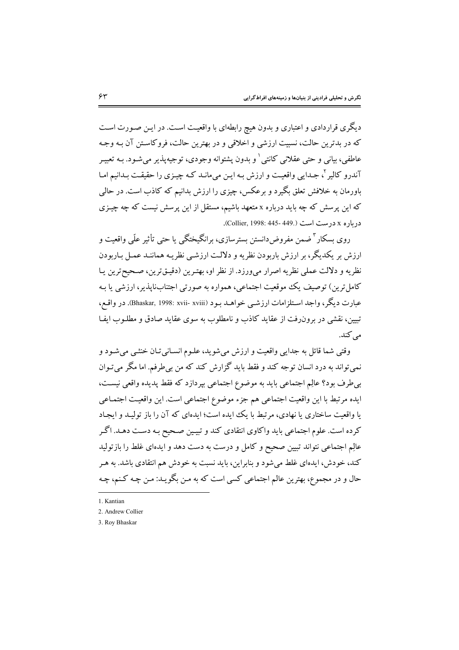دیگری قراردادی و اعتباری و بدون هیچ رابطهای با واقعیت است. در ایـن صـورت اسـت که در بدترین حالت، نسبیت ارزشی و اخلاقی و در بهترین حالت، فروکاستن آن بـه وجـه عاطفي، بياني و حتى عقلاني كانتي ٰ و بدون پشتوانه وجودي، توجيهپذير مي شـود. بـه تعبيـر آندرو کالیر <sup>۲</sup>، جـدایی واقعیـت و ارزش بـه ایـن می،مانـد کـه چیـزی را حقیقـت بـدانیم امـا باورمان به خلافش تعلق بگیرد و برعکس، چیزی را ارزش بدانیم که کاذب است. در حالی که این پرسش که چه باید درباره x متعهد باشیم، مستقل از این پرسش نیست که چه چیـزی درياره x درست است (.Collier, 1998: 445- 449).

روی بسکار " ضمن مفروض دانستن بسترسازی، برانگیختگی یا حتی تأثیر علّی واقعیت و ارزش بر یکدیگر، بر ارزش باربودن نظریه و دلالت ارزشبی نظریـه هماننـد عمـل بـاربودن نظريه و دلالت عملي نظريه اصرار مي ورزد. از نظر او، بهترين (دقيـقترين، صـحيحترين يـا کامل ترین) توصیف یک موقعیت اجتماعی، همواره به صورتی اجتنابناپذیر، ارزشی یا بـه عبارت ديگر، واجد اسـتلزامات ارزشــي خواهــد بــود (Bhaskar, 1998: xvii- xviii). در واقــع، تبیین، نقشی در برون رفت از عقاید کاذب و نامطلوب به سوی عقاید صادق و مطلـوب ایفـا مے کند.

وقتي شما قائل به جدايي واقعيت و ارزش مي شويد، علـوم انسـاني تـان خنثـي مي شـود و نمی تواند به درد انسان توجه کند و فقط باید گزارش کند که من بی طرفم. اما مگر می تـوان بی طرف بود؟ عالِم اجتماعی باید به موضوع اجتماعی بپردازد که فقط پدیده واقعی نیست، ايده مرتبط با اين واقعيت اجتماعي هم جزء موضوع اجتماعي است. اين واقعيت اجتمـاعي یا واقعیت ساختاری یا نهادی، مرتبط با یک ایده است؛ ایدهای که آن را باز تولیـد و ایجـاد کرده است. علوم اجتماعی باید واکاوی انتقادی کند و تبیین صـحیح بـه دسـت دهـد. اگـر عالِم اجتماعی نتواند تبیین صحیح و کامل و درست به دست دهد و ایدهای غلط را بازتولید کند، خودش، ایدهای غلط میشود و بنابراین، باید نسبت به خودش هم انتقادی باشد. به هـر حال و در مجموع، بهترین عالم اجتماعی کسی است که به مـن بگویـد: مـن چـه کـنـم، چـه

<sup>1</sup> Kantian

<sup>2.</sup> Andrew Collier

<sup>3.</sup> Rov Bhaskar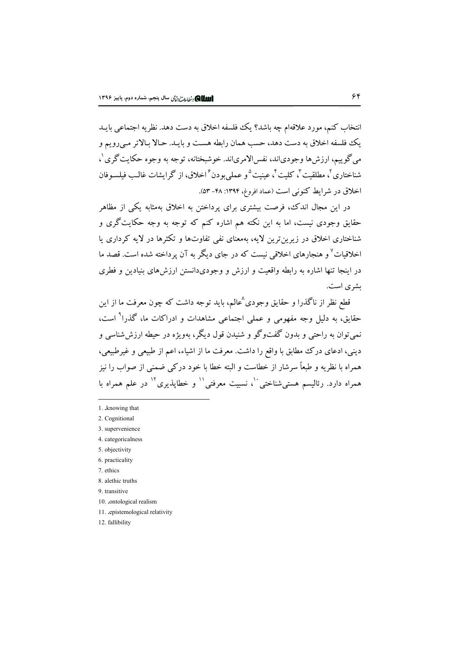انتخاب کنم، مورد علاقهام چه باشد؟ یک فلسفه اخلاق به دست دهد. نظریه اجتماعی بایـد يک فلسفه اخلاق به دست دهد، حسب همان رابطه هست و بايـد. حـالا بـالاتر مـيرويم و مي گو پيم، ارزش ها وجودي!ند، نفس!لامري!ند. خو شبختانه، توجه به وجوه حكايت گري ل شناختاري<sup>7</sup>، مطلقيت<sup>7</sup>، كليت<sup>4</sup>، عينيت<sup>4</sup>و عملي بو دن<sup>۶</sup>اخلاق، از گرايشات غالب فيلسـوفان اخلاق در شرایط کنونی است (عماد افروغ، ۱۳۹۴: ۴۸–۵۳).

در این مجال اندک، فرصت بیشتری برای پرداختن به اخلاق بهمثابه یکی از مظاهر حقایق وجودی نیست، اما به این نکته هم اشاره کنم که توجه به وجه حکایت گری و شناختاری اخلاق در زیرینترین لایه، بهمعنای نفی تفاوتها و تکثرها در لایه کرداری یا اخلاقیات<sup>۷</sup> و هنجارهای اخلاقی نیست که در جای دیگر به آن یرداخته شده است. قصد ما در اینجا تنها اشاره به رابطه واقعیت و ارزش و وجودیدانستن ارزش های بنیادین و فطری یشری است.

قطع نظر از ناگذرا و حقایق وجودی ٔعالم، پاید توجه داشت که چون معرفت ما از این حقایق، به دلیل وجه مفهومی و عملی اجتماعی مشاهدات و ادراکات ما، گذرا<sup>۹</sup> است، نمي توان به راحتي و بدون گفتوگو و شنيدن قول ديگر، بهويژه در حيطه ارزش شناسي و دینی، ادعای درک مطابق با واقع را داشت. معرفت ما از اشیاء، اعم از طبیعی و غیرطبیعی، همراه با نظریه و طبعاً سرشار از خطاست و البته خطا با خود در کبی ضمنی از صواب را نیز همراه دارد. رئالیسم هستی شناختی ٔ ٔ، نسبیت معرفتی ٔ ٰ و خطایذیری ٔ ٰ در علم همراه با

- 1. knowing that
- 2. Cognitional
- 3. supervenience
- 4. categoricalness
- 5. objectivity
- 6. practicality
- 7 ethics
- 8. alethic truths
- 9. transitive
- 10. .ontological realism
- 11. epistemological relativity
- 12. fallibility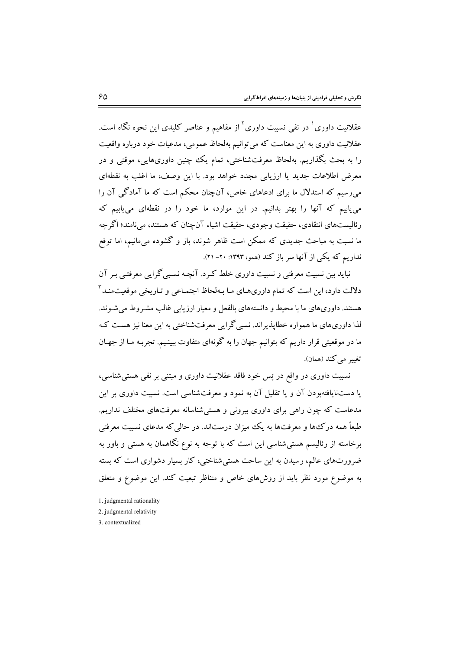عقلانیت داوری <sup>۱</sup> در نفی نسبت داوری<sup>۲</sup> از مفاهیم و عناصر کلیدی این نحوه نگاه است. عقلانیت داوری به این معناست که می توانیم بهلحاظ عمومی، مدعیات خود درباره واقعیت را به بحث بگذاریم. بهلحاظ معرفتشناختی، تمام یک چنین داوریهایی، موقتی و در معرض اطلاعات جدید یا ارزیابی مجدد خواهد بود. با این وصف، ما اغلب به نقطهای می رسیم که استدلال ما برای ادعاهای خاص، آنچنان محکم است که ما آمادگی آن را می پاییم که آنها را بهتر بدانیم. در این موارد، ما خود را در نقطهای می پاییم که رئالیستهای انتقادی، حقیقت وجودی، حقیقت اشیاء آن چنان که هستند، می نامند؛ اگر چه ما نسبت به مباحث جدیدی که ممکن است ظاهر شوند، باز و گشوده می،مانیم، اما توقع نداریم که یکی از آنها سر باز کند (همو، ۱۳۹۳: ۲۰- ۲۱).

نباید بین نسبیت معرفتی و نسبیت داوری خلط کـرد. آنچـه نسـبیگرایی معرفتـی بـر آن دلالت دارد، این است که تمام داوریهـای مـا بـهلحاظ اجتمـاعـ و تـاریخـ موقعیتمنـد آ هستند. داوریهای ما با محیط و دانستههای بالفعل و معیار ارزیابی غالب مشـروط می شـوند. لذا داوریهای ما همواره خطایذیراند. نسبی گرایی معرفتشناختی به این معنا نیز هست کـه ما در موقعیتی قرار داریم که بتوانیم جهان را به گونهای متفاوت ببینـیم. تجربـه مـا از جهـان تغيير مي كند (همان).

نسبیت داوری در واقع در پَس خود فاقد عقلانیت داوری و مبتنی بر نفی هستی شناسی، یا دستنایافتهبودن آن و یا تقلیل آن به نمود و معرفتشناسی است. نسبیت داوری بر این مدعاست که چون راهی برای داوری بیرونی و هستی شناسانه معرفتهای مختلف نداریم. طبعاً همه درک\$ها و معرفتها به یک میزان درستاند. در حالی که مدعای نسبیت معرفتی برخاسته از رئالیسم هستی شناسی این است که با توجه به نوع نگاهمان به هستی و باور به ضرورتهای عالم، رسیدن به این ساحت هستی شناختی، کار بسیار دشواری است که بسته به موضوع مورد نظر باید از روشهای خاص و متناظر تبعیت کند. این موضوع و متعلق

<sup>1.</sup> judgmental rationality

<sup>2.</sup> judgmental relativity

<sup>3.</sup> contextualized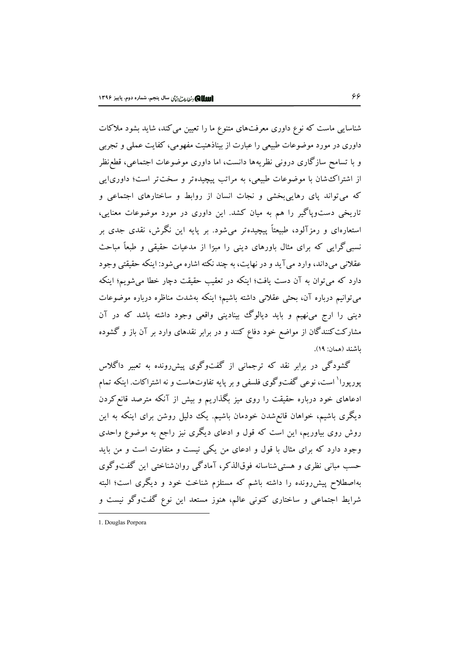شناسایی ماست که نوع داوری معرفتهای متنوع ما را تعیین میکند، شاید بشود ملاکات داوری در مورد موضوعات طبیعی را عبارت از بیناذهنیت مفهومی، کفایت عملی و تجربی و با تسامح سازگاری درونی نظریهها دانست، اما داوری موضوعات اجتماعی، قطع نظر از اشتراک شان با موضوعات طبیعی، به مراتب پیچیدهتر و سخت تر است؛ داوری ایی که می تواند یای رهایی بخشی و نجات انسان از روابط و ساختارهای اجتماعی و تاریخی دستوپاگیر را هم به میان کشد. این داوری در مورد موضوعات معنایی، استعارهای و رمزآلود، طبیعتاً پیچیدهتر میشود. بر پایه این نگرش، نقدی جدی بر نسبی گرایی که برای مثال باورهای دینی را مبرًا از مدعیات حقیقی و طبعاً مباحث عقلاني مي داند، وارد مي آيد و در نهايت، به چند نکته اشاره مي شود: اينکه حقيقتي وجود دارد که میتوان به آن دست یافت؛ اینکه در تعقیب حقیقت دچار خطا میشویم؛ اینکه میتوانیم درباره آن، بحثی عقلانی داشته باشیم؛ اینکه بهشدت مناظره درباره موضوعات دینی را ارج می، هیم و باید دیالوگ بینادینی واقعی وجود داشته باشد که در آن مشارکت کنندگان از مواضع خود دفاع کنند و در برابر نقدهای وارد بر آن باز و گشوده ياشند (همان: ١٩).

گشودگی در برابر نقد که ترجمانی از گفتوگوی پیش(ونده به تعبیر داگلاس پورپورا<sup>۱</sup>است، نوعی گفتوگوی فلسفی و بر پایه تفاوتهاست و نه اشتراکات. اینکه تمام ادعاهای خود درباره حقیقت را روی میز بگذاریم و بیش از آنکه مترصد قانع کردن دیگری باشیم، خواهان قانع شدن خودمان باشیم. یک دلیل روشن برای اینکه به این روش روی بیاوریم، این است که قول و ادعای دیگری نیز راجع به موضوع واحدی وجود دارد که برای مثال با قول و ادعای من یکی نیست و متفاوت است و من باید حسب مباني نظري و هستي شناسانه فوقالذكر، آمادگي روان شناختي اين گفتوگوي بهاصطلاح پیش رونده را داشته باشم که مستلزم شناخت خود و دیگری است؛ البته شرایط اجتماعی و ساختاری کنونی عالم، هنوز مستعد این نوع گفتوگو نیست و

<sup>1.</sup> Douglas Porpora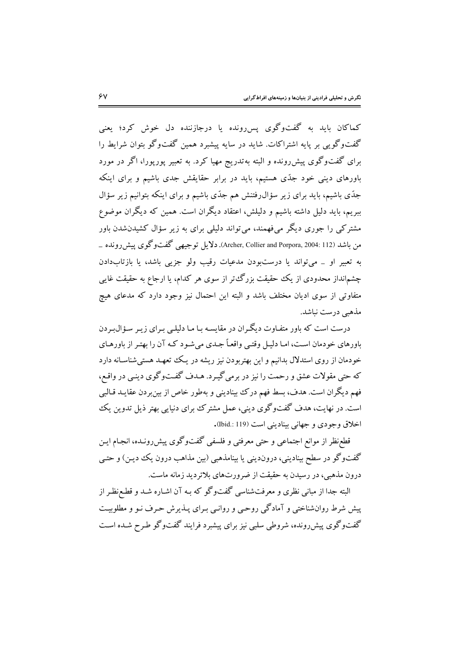کماکان باید به گفتوگوی پسررونده یا درجازننده دل خوش کرد؛ یعنی گفتوگویی بر پایه اشتراکات. شاید در سایه پیشبرد همین گفتوگو بتوان شرایط را برای گفتوگوی پیش رونده و البته به تدریج مهیا کرد. به تعبیر پورپورا، اگر در مورد باورهای دینی خود جدّی هستیم، باید در برابر حقایقش جدی باشیم و برای اینکه جدّي باشيم، بايد براي زير سؤال(فتنش هم جدّي باشيم و براي اينكه بتوانيم زير سؤال ببریم، باید دلیل داشته باشیم و دلیلش، اعتقاد دیگران است. همین که دیگران موضوع مشترکی را جوری دیگر میفهمند، می تواند دلیلی برای به زیر سؤال کشیدنشدن باور من باشد (Archer, Collier and Porpora, 2004: 112). دلایل توجیهی گفتوگوی پیش رونده \_ به تعبیر او \_ می تواند یا درستبودن مدعیات رقیب ولو جزیی باشد، یا بازتابدادن چشم|نداز محدودی از یک حقیقت بزرگءتر از سوی هر کدام، یا ارجاع به حقیقت غایبی متفاوتی از سوی ادیان مختلف باشد و البته این احتمال نیز وجود دارد که مدعای هیچ مذهبی درست نباشد.

درست است که باور متفـاوت دیگـران در مقایسـه بـا مـا دلیلـی بـرای زیـر سـؤال بـردن باورهای خودمان است، امـا دليـل وقتـي واقعـاً جـدي مي شـو د كـه آن را بهتـر از باورهـاي خودمان از روی استدلال بدانیم و این بهتربودن نیز ریشه در یک تعهـد هستی شناسـانه دارد که حتی مقولات عشق و رحمت را نیز در برمی گیرد. هـدف گفتوگوی دینـی در واقـع، فهم دیگران است. هدف، بسط فهم درک بینادینی و بهطور خاص از بینبردن عقایـد قـالبی است. در نهایت، هدف گفتوگوی دینی، عمل مشترک برای دنیایی بهتر ذیل تدوین یک اخلاق وجودي و جهاني بيناديني است (119 : Ibid).

قطعنظر از موانع اجتماعی و حتی معرفتی و فلسفی گفتوگوی پیش رونـده، انجـام ایـن گفتوگو در سطح بینادینی، دروندینی یا بینامذهبی (بین مذاهب درون یک دیـن) و حتـی درون مذهبی، در رسیدن به حقیقت از ضرورتهای بلاتردید زمانه ماست.

البته جدا از مبانی نظری و معرفتشناسی گفتوگو که بـه آن اشـاره شـد و قطـع نظـر از پیش شرط روانشناختی و آمادگی روحبی و روانبی بیرای پیذیرش حرف نیو و مطلوبیت گفتو گوی پیش دونده، شروطی سلبی نیز برای پیشیرد فرایند گفتو گو طبرح شیده است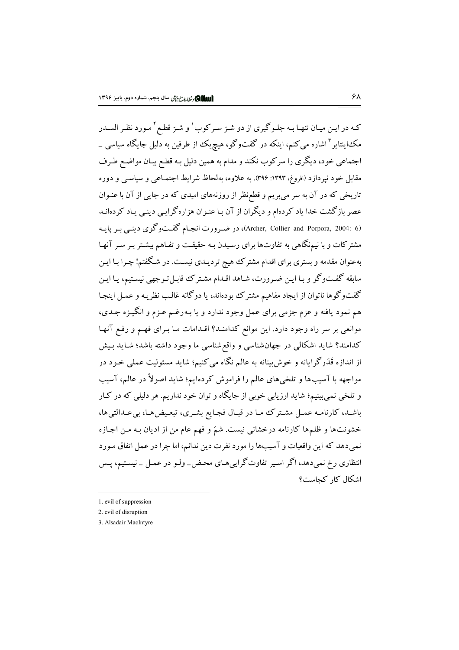کـه در ايـن ميـان تنهـا بـه جلـوگيري از دو شـرّ سـرکوب <sup>۱</sup> و شـرّ قطـع <sup>۲</sup> مـورد نظـر الســدر مک اینتایر <sup>۳</sup> اشاره می کنم، اینکه در گفتوگو، هیچ یک از طرفین به دلیل جایگاه سیاسی \_ اجتماعی خود، دیگری را سرکوب نکند و مدام به همین دلیل بـه قطـع بیـان مواضـع طـرف مقابل خود نپردازد (افروغ، ۱۳۹۳: ۳۹۶). به علاوه، بهلحاظ شرایط اجتمـاعی و سیاسـی و دوره تاریخی که در آن به سر می بریم و قطع نظر از روزنههای امیدی که در جایی از آن با عنـوان عصر بازگشت خدا یاد کردهام و دیگران از آن بـا عنـوان هزارهگرایـی دینـی یـاد کردهانـد (Archer, Collier and Porpora, 2004: 6)، در ضہ ورت انجـام گفــتوگوی دینـبی بـر پايــه مشترکات و با نیمنگاهی به تفاوتها برای رسیدن بـه حقیقـت و تفـاهـم بیشـتر بـر سـر آنهـا بهعنوان مقدمه و بستری برای اقدام مشترک هیچ تردیـدی نیسـت. در شـگفتم! چـرا بـا ایـن سابقه گفتوگو و بـا ايـن ضـرورت، شـاهد اقـدام مشـتر ک قابـل تـوجهي نيسـتيم، يـا ايـن گفتوگوها ناتوان از ایجاد مفاهیم مشترک بودهاند، یا دوگانه غالب نظریـه و عمـل اینجـا هم نمود يافته و عزم جزمي براي عمل وجود ندارد و يا بـهرغـم عـزم و انگيـزه جـدي، موانعی بر سر راه وجود دارد. این موانع کدامنـد؟ اقـدامات مـا بـرای فهـم و رفـع آنهـا کدامند؟ شاید اشکالی در جهانشناسی و واقع شناسی ما وجود داشته باشد؛ شـاید بـیش از اندازه قَدَرگرایانه و خوش بینانه به عالم نگاه می کنیم؛ شاید مسئولیت عملی خـود در مواجهه با آسیبها و تلخیهای عالم را فراموش کردهایم؛ شاید اصولاً در عالم، آسیب و تلخې نمې بينيم؛ شايد ارزيابي خوبي از جايگاه و توان خود نداريم. هر دليلې كه در كـار باشـد، كارنامـه عمـل مشـترك مـا در قبـال فجـايع بشـري، تبعـيضهـا، بيعـدالتيها، خشونتها و ظلمها كارنامه درخشاني نيست. شمّ و فهم عام من از اديان بـه مـن اجـازه نمی دهد که این واقعیات و آسیبها را مورد نفرت دین ندانم، اما چرا در عمل اتفاق مـورد انتظاری رخ نمی دهد، اگر اسیر تفاوتگرایی هـای محـض\_ ولـو در عمـل \_ نیسـتیم، پـس اشكال كار كجاست؟

<sup>1.</sup> evil of suppression

<sup>2.</sup> evil of disruption

<sup>3.</sup> Alsadair MacIntyre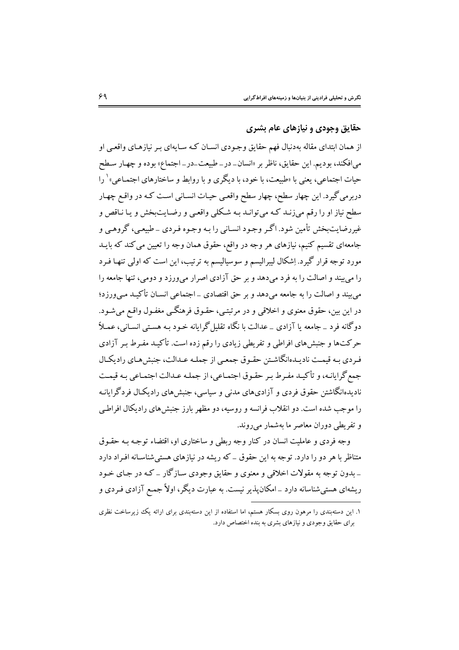## حقايق وجودي و نيازهاي عام بشري

از همان ابتدای مقاله بهدنبال فهم حقایق وجـودی انسـان کـه سـایهای بـر نیازهـای واقعـی او میافکند، بودیم. این حقایق، ناظر بر «انسان\_در\_طبیعت\_در\_ اجتماع» بوده و چهـار سـطح حیات اجتماعی، یعنی یا «طبیعت، یا خود، یا دیگری و یا روابط و ساختارهای اجتمـاعی» <sup>۱</sup> را دربرمی گیرد. این چهار سطح، چهار سطح واقعبی حیـات انسـانی اسـت کـه در واقـع چهـار سطح نیاز او را رقم می;زنـد کـه می;توانـد بـه شـکلی واقعـی و رضـایتبخش و یـا نـاقص و غیررضایتبخش تأمین شود. اگـر وجـود انسـانی را بـه وجـوه فـردی \_ طبیعـی، گروهـی و جامعهای تقسیم کنیم، نیازهای هر وجه در واقع، حقوق همان وجه را تعیین می کند که بایـد مورد توجه قرار گیرد. اِشکال لیبرالیسم و سوسیالیسم به ترتیب، این است که اولی تنهـا فـرد را می بیند و اصالت را به فرد می دهد و بر حق آزادی اصرار می ورزد و دومی، تنها جامعه را می سند و اصالت را به جامعه می دهد و بر حق اقتصادی \_اجتماعی انسـان تأکـیـد مـه ورزد؛ در اين بين، حقوق معنوي و اخلاقي و در مرتبتـي، حقـوق فرهنگـي مغفـول واقـع مي شـود. دوگانه فرد \_ جامعه یا آزادی \_ عدالت با نگاه تقلیل گرایانه خـود بـه هسـتی انسـانی، عمـلاً حرکتها و جنبش های افراطی و تفریطی زیادی را رقم زده است. تأکیـد مفـرط بـر آزادی فردي به قيمت ناديـدهانگاشـتن حقـوق جمعـي از جملـه عـدالت، جنبش هـاي راديكـال جمع گرايانـه، و تأكيـد مفـرط بـر حقـوق اجتمـاعي، از جملـه عـدالت اجتمـاعي بـه قيمـت نادیدهانگاشتن حقوق فردی و آزادیهای مدنی و سیاسی، جنبش های رادیکـال فردگرایانـه را موجب شده است. دو انقلاب فرانسه و روسیه، دو مظهر بارز جنبش های رادیکال افراطبی و تفریطے دوران معاصر ما بهشمار میروند.

وجه فردی و عاملیت انسان در کنار وجه ربطی و ساختاری او، اقتضاء توجه به حقبوق متناظر با هر دو را دارد. توجه به این حقوق \_ که ریشه در نیازهای هستی شناسـانه افـراد دارد \_ بدون توجه به مقولات اخلاقي و معنوي و حقايق وجودي سـاز گار \_ کـه در جـاي خـود ریشهای هستی شناسانه دارد \_امکان پذیر نیست. به عبارت دیگر، اولاً جمع آزادی فـردی و

۱. این دستهبندی را مرهون روی بسکار هستم، اما استفاده از این دستهبندی برای ارائه یک زیرساخت نظری برای حقایق وجودی و نیازهای بشری به بنده اختصاص دارد.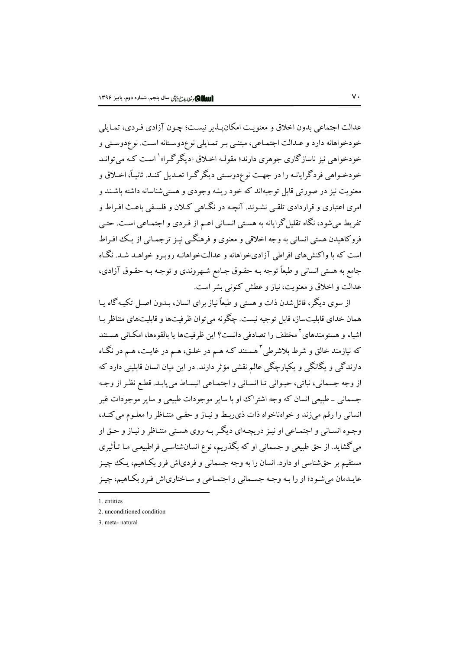عدالت اجتماعي بدون اخلاق و معنويت امكان يـذير نيسـت؛ چـون آزادي فـردي، تمـايلي خودخواهانه دارد و عـدالت اجتمـاعي، مبتنـي بـر تمـايلي نوعدوسـتانه اسـت. نوعدوسـتي و خودخواهي نيز ناسازگاري جوهري دارند؛ مقولـه اخـلاق «ديگر گـرا»<sup>\</sup> اسـت کـه مي توانـد خودخـواهي فردگرايانـه را در جهـت نوع‹دوسـتي ديگرگـرا تعـديل كنـد. ثانيـاً، اخـلاق و معنویت نیز در صورتی قابل توجیهاند که خود ریشه وجودی و هستی شناسانه داشته باشـند و امري اعتباري و قراردادي تلقبي نشـوند. آنچـه در نگـاهي کــلان و فلسـفي پاعـث افـراط و تفریط می شود، نگاه تقلیل گرایانه به هستی انسـانی اعـم از فـردی و اجتمـاعی اسـت. حتـی فروکاهیدن هستی انسانی به وجه اخلاقی و معنوی و فرهنگبی نیـز ترجمـانی از یـک افـراط است که با واکنش های افراطی آزادیخواهانه و عدالتخواهانـه روبـرو خواهـد شـد. نگـاه جامع به هستی انسانی و طبعاً توجه بـه حقـوق جـامع شـهروندی و توجـه بـه حقـوق آزادی، عدالت و اخلاق و معنويت، نياز و عطش كنوني بشر است.

از سوی دیگر، قائل شدن ذات و هستی و طبعاً نیاز برای انسان، بـدون اصـل تکیـه گاه پـا همان خدای قابلیتساز، قابل توجیه نیست. چگونه می توان ظرفیتها و قابلیتهای متناظر با اشیاء و هستومندهای<sup>۲</sup> مختلف را تصادفی دانست؟ این ظرفیتها یا بالقوهها، امکـانی هسـتند که نیازمند خالق و شرط بلاشرطی<sup>۲</sup> هستند کـه هــم در خلـق، هــم در غایــت، هــم در نگــاه دارندگی و یگانگی و یکپارچگی عالم نقشی مؤثر دارند. در این میان انسان قابلیتی دارد که از وجه جسمانی، نباتی، حیـوانی تـا انسـانی و اجتمـاعی انبسـاط می یابـد. قطـع نظـر از وجـه ۔<br>جسمانی \_ طبیعی انسان که وجه اشتراک او با سایر موجودات طبیعی و سایر موجودات غیر انسانی را رقم میزند و خواهناخواه ذات ذی ربط و نیـاز و حقـی متنـاظر را معلـوم می کنـد، وجـوه انسـاني و اجتمـاعي او نيـز دريچـهاي ديگـر بـه روي هسـتي متنـاظر و نيـاز و حـق او می گشاید. از حق طبیعی و جسمانی او که بگذریم، نوع انسانشناسـی فراطبیعـی مـا تـأثیری مستقیم بر حقشناسی او دارد. انسان را به وجه جسمانی و فردیاش فرو بکـاهیم، یـک چیـز عايـدمان مي شـود؛ او را بـه وجـه جسـماني و اجتمـاعي و سـاختارياش فـرو بكـاهيم، چيـز

<sup>1</sup> entities

<sup>2.</sup> unconditioned condition

<sup>3.</sup> meta-natural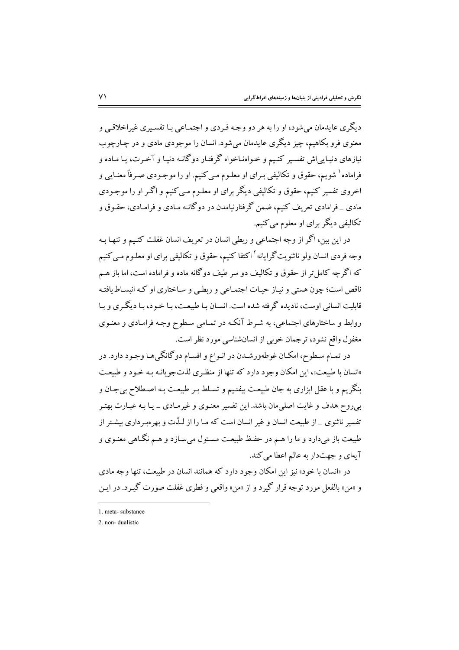ديگري عايدمان مي شود، او را به هر دو وجـه فـردي و اجتمـاعي بـا تفسـيري غيراخلاقـي و معنوی فرو بکاهیم، چیز دیگری عایدمان میشود. انسان را موجودی مادی و در چـارچوب نیازهای دنیـایی اش تفسـیر کنـیـم و خـواهنـاخواه گرفتـار دوگانـه دنیـا و آخـرت، یـا مـاده و فراماده` شويم، حقوق و تكاليفي بـراي او معلـوم مـي كنيم. او را موجـودي صـرفاً معنـايي و اخروی تفسیر کنیم، حقوق و تکالیفی دیگر برای او معلـوم مـی کنیم و اگـر او را موجـودی مادی \_ فرامادی تعریف کنیم، ضمن گرفتارنیامدن در دوگانـه مـادی و فرامـادی، حقـوق و تکالیفی دیگر برای او معلوم می کنیم.

در این بین، اگر از وجه اجتماعی و ربطی انسان در تعریف انسان غفلت کنـیم و تنهـا بـه وجه فردی انسان ولو ناثنویتگرایانه<sup>۲</sup>اکتفا کنیم، حقوق و تکالیفی برای او معلـوم مـی کنیم که اگرچه کامل تر از حقوق و تکالیف دو سر طیف دوگانه ماده و فراماده است، اما باز هـم .<br>ناقص است؛ چون هستی و نیـاز حیـات اجتمـاعی و ربطـی و سـاختاری او کـه انبسـاط یافتـه قابلیت انسانی اوست، نادیده گرفته شده است. انسـان بـا طبیعـت، بـا خـود، بـا دیگـری و بـا روابط و ساختارهای اجتماعی، به شـرط آنکـه در تمـامی سـطوح وجـه فرامـادی و معنـوی مغفول واقع نشود، ترجمان خوبی از انسانشناسی مورد نظر است.

در تمـام سـطوح، امكـان غوطهورشـدن در انـواع و اقسـام دوگانگيهـا وجـود دارد. در «انسان با طبیعت»، این امکان وجود دارد که تنها از منظری لذتجویانـه بـه خـود و طبیعـت بنگريم و با عقل ابزاري به جان طبيعت بيفتيم و تسلط بـر طبيعـت بـه اصـطلاح بي جـان و بی روح هدف و غایت اصلی مان باشد. این تفسیر معنـوی و غیرمـادی \_ یـا بـه عبـارت بهتـر تفسیر ناثنوی \_ از طبیعت انسان و غیر انسان است که مـا را از لـذّت و بهر هبـرداری بیشـتر از طبیعت باز میدارد و ما را هـم در حفـظ طبیعـت مسـئول میسـازد و هـم نگـاهی معنـوی و آیهای و جهتدار به عالم اعطا می کند.

در «انسان با خود» نیز این امکان وجود دارد که همانند انسان در طبیعت، تنها وجه مادی و «من» بالفعل مورد توجه قرار گیرد و از «من» واقعی و فطری غفلت صورت گیــ د. در ابــز

<sup>1.</sup> meta-substance

<sup>2.</sup> non-dualistic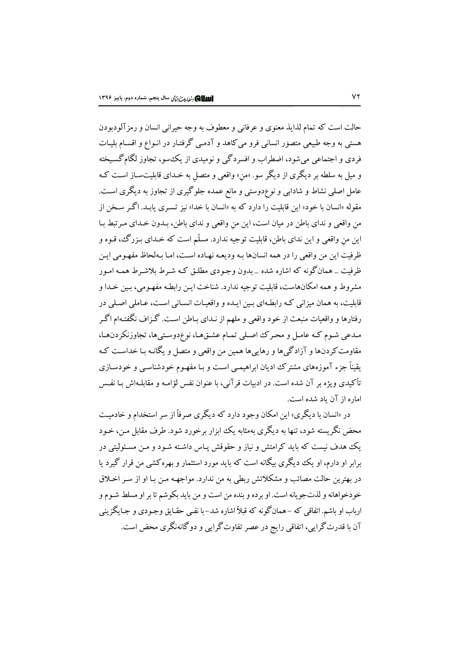حالت است كه تمام لذايذ معنوى و عرفاني و معطوف به وجه حيراني انسان و رمز آلودبودن هستی به وجه طبیعی متصوّر انسانی فرو می کاهد و آدمـی گرفتـار در انـواع و اقسـام بلیـات فردی و اجتماعی میشود، اضطراب و افسردگی و نومیدی از یک سو، تجاوز لگام گسیخته و میل به سلطه بر دیگری از دیگر سو. «من» واقعی و متصل به خـدای قابلیتسـاز اسـت کـه عامل اصلی نشاط و شادابی و نوعٖدوستی و مانع عمده جلوگیری از تجاوز به دیگری است. مقوله «انسان با خود» این قابلیت را دارد که به «انسان با خدا» نیز تسـری یابـد. اگـر سـخن از من واقعي و نداي باطن در ميان است، اين من واقعي و نداي باطن، بـدون خـداي مـر تبط بـا این من واقعی و این ندای باطن، قابلیت توجیه ندارد. مسلّم است که خـدای بـزرگ، قـوه و ظرفيت اين من واقعي را در همه انسانها بـه وديعـه نهـاده اسـت، امـا بـهلحاظ مفهـومي ايـن ظرفیت \_ همان گونه که اشاره شده \_ بدون وجـودی مطلـق کـه شـرط بلاشـرط همـه امـور مشروط و همه امکانهاست، قابلیت توجیه ندارد. شناخت این رابطـه مفهـومی، بـین خـدا و قابلیت، به همان میزانی کـه رابطـهای بـین ایـده و واقعیـات انسـانی اسـت، عـاملی اصـلی در .<br>دفتارها و واقعیات منبعث از خود واقعی و ملهم از نیدای ساطن است. گیزاف نگفتیهام اگیر مـدعبي شـوم كـه عامـل و محـر ك اصـلي تمـام عشـقهـا، نوع<وسـتيها، تجاوزنكر دنهـا، مقاومت کردنها و آزادگیها و رهاییها همین من واقعی و متصل و یگانـه بـا خداسـت کـه یقیناً جزء آموزههای مشترک ادیان ابراهیمبی است و بـا مفهـوم خودشناسـبی و خودسـازی تأکیدی ویژه بر آن شده است. در ادبیات قرآنی، با عنوان نفس لوّامـه و مقابلـهاش بـا نفـس اماره از آن باد شده است.

در «انسان با دیگری» این امکان وجود دارد که دیگری صرفاً از سر استخدام و خادمیت محض نگریسته شود، تنها به دیگری بهمثابه یک ابزار برخورد شود. طرف مقابل مـن، خـود .<br>یک هدف نیست که باید کرامتش و نیاز و حقوقش پیاس داشته شـود و مـن مسـئولیتی در برابر او دارم، او یک دیگری بیگانه است که باید مورد استثمار و بهره کشی من قرار گیرد یا در بهترین حالت مصائب و مشکلاتش ربطی به من ندارد. مواجهـه مـن بـا او از سـر اخـلاق خودخواهانه و لذتجو يانه است. او برده و بنده من است و من بايد بكوشم تا بر او مسلط شـوم و ارباب او باشم. اتفاقی که –همانگونه که قبلاً اشاره شد–با نفـی حقـایق وجـودی و جـایگزینی آن با قدرت گرایی، اتفاقی رایج در عصر تفاوت گرایی و دو گانهنگری محض است.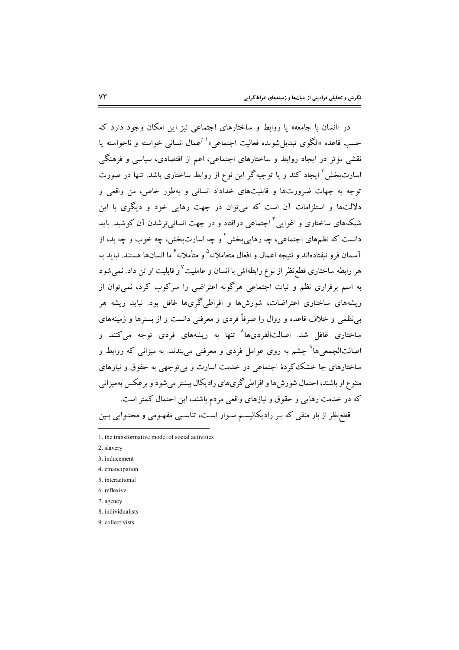در «انسان با جامعه» یا روابط و ساختارهای اجتماعی نیز این امکان وجود دارد که حسب قاعده «الگوی تبدیل شونده فعالیت اجتماعی» ٰ اَعمال انسانی خواسته و ناخواسته یا نقشی مؤثر در ایجاد روابط و ساختارهای اجتماعی، اعم از اقتصادی، سیاسی و فرهنگی اسارتبخش<sup>۲</sup> ایجاد کند و یا توجیهگر این نوع از روابط ساختاری باشد. تنها در صورت .<br>توجه به جهات ضرورتها و قابلیتهای خداداد انسانی و بهطور خاص، من واقعی و دلالتها و استلزامات آن است که می توان در جهت رهایی خود و دیگری با این شبکههای ساختاری و اغوایی <sup>۳</sup> اجتماعی درافتاد و در جهت انسانی ترشدن آن کوشید. باید دانست که نظمهای اجتماعی، چه رهایی<sub>ن</sub>خش ٔ و چه اسارتبخش، چه خوب و چه بد، از آسمان فرو نیفتادهاند و نتیجه اعمال و افعال متعاملانه<sup>۵</sup> و متأملانه<sup>۶</sup> ما انسانها هستند. نباید به هر رابطه ساختاری قطع نظر از نوع رابطهاش با انسان و عاملیت<sup>۷</sup>و قابلیت او تن داد. نمی شود به اسم برقراری نظم و ثبات اجتماعی هرگونه اعتراضی را سرکوب کرد، نمی توان از ریشههای ساختاری اعتراضات، شورشها و افراطیگریها غافل بود. نباید ریشه هر بےنظمے و خلاف قاعدہ و روال را صرفاً فردی و معرفتے دانست و از سترها و زمینههای ساختاری غافل شد. اصالتالفردیها<sup>۸</sup> تنها به ریشههای فردی توجه میکنند و اصالتالجمعیها<sup>۹</sup> چشم به روی عوامل فردی و معرفتی میبندند. به میزانی که روابط و ساختارهای جا خشک کردهٔ اجتماعی در خدمت اسارت و بی توجهی به حقوق و نیازهای متنوع او باشند، احتمال شورش۵ها و افراطی گری۵ای رادیکال بیشتر میشود و برعکس بهمیزانی که در خدمت رهایی و حقوق و نیازهای واقعی مردم باشند، این احتمال کمتر است. قطعزظر از بار منفی که بـر رادیکالیسـم سـوار اسـت، تناسـبی مفهـومی و محتـوایی بـین

<sup>1.</sup> the transformative model of social activities

<sup>2.</sup> slavery

<sup>3.</sup> inducement

<sup>4.</sup> emancipation

<sup>5</sup> interactional

<sup>6.</sup> reflexive

<sup>7.</sup> agency

<sup>8.</sup> individualists

<sup>9</sup> collectivists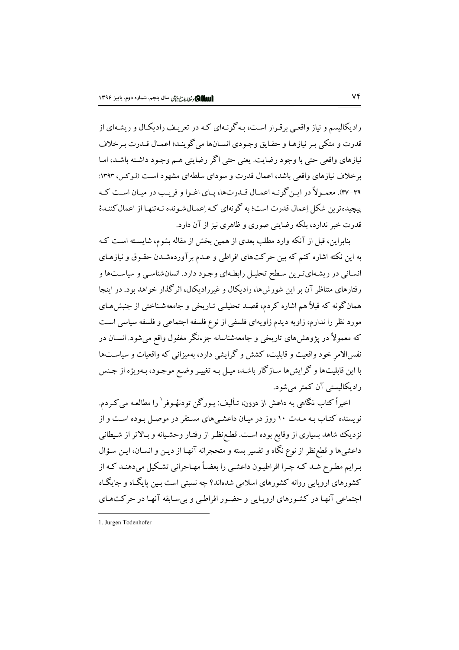رادیکالیسم و نیاز واقعبی برقبرار است، په گونـهای کـه در تعریـف رادیکـال و ریشـهای از ۔<br>قدرت و متکی پیر نیازها و حقیاتی وجبودی انسیانها می گوینید؛ اعمیال قیدرت پیرخلاف .<br>نیازهای واقعی حتی با وجود رضایت. یعنی حتی اگر رضایتی هـم وجـود داشـته باشـد، امـا بر خلاف نیازهای واقعی باشد، اعمال قدرت و سودای سلطهای مشهود است (لـوکس، ۱۳۹۳: ۳۹- ۴۷). معمـولاً در ایـن گونـه اعمـال قـدرتها، پـای اغـوا و فریـب در میـان اسـت کـه پیچیده ترین شکل اِعمال قدرت است؛ به گونهای کـه اِعمـالشـونده نـهتنهـا از اعمال کننـدهٔ قدرت خبر ندارد، ملکه رضایتے صوری و ظاهری نیز از آن دارد.

بنابراین، قبل از آنکه وارد مطلب بعدی از همین بخش از مقاله بشوم، شایسته است کـه به این نکته اشاره کنم که بین حرکتهای افراطی و عـدم بر آوردهشـدن حقـوق و نیازهـای انسانی در ریشهای ترین سطح تحلیل رابطهای وجود دارد. انسان شناسی و سیاستها و رفتارهای متناظر آن بر این شورشها، رادیکال و غیررادیکال، اثر گذار خواهد بود. در اینجا همانگونه که قبلاً هم اشاره کردم، قصـد تحلیلـی تـاریخی و جامعهشـناختی از جنبشهـای مورد نظر را ندارم، زاویه دیدم زاویهای فلسفی از نوع فلسفه اجتماعی و فلسفه سیاسی است که معمولاً در یژوهش های تاریخی و جامعهشناسانه جزءنگر مغفول واقع می شود. انســان در نفس!لامر خود واقعیت و قابلیت، کشش و گرایشی دارد، بهمیزانی که واقعیات و سیاستها با این قابلیتها و گرایشها سـازگار باشـد، میـل بـه تغییـر وضـع موجـود، بـهویژه از جـنس رادیکالیستی آن کمتر می شود.

اخیراً کتاب نگاهی به داعش از درون، تـألیف: یـورگن تودنهُـوفر ٰ را مطالعـه می کـردم. نویسنده کتـاب بـه مـدت ۱۰ روز در میـان داعشـیهای مسـتقر در موصـل بـوده اسـت و از نزدیک شاهد بسیاری از وقایع بوده است. قطع نظر از رفتـار وحشـیانه و بـالاتر از شـیطانی داعشیها و قطع نظر از نوع نگاه و تفسیر بسته و متحجرانه آنهـا از دیـن و انسـان، ایـن سـؤال برایم مطرح شـد کـه چـرا افراطیـون داعشـی را بعضـاً مهـاجرانی تشـکیل میدهنـد کـه از کشورهای اروپایی روانه کشورهای اسلامی شدهاند؟ چه نسبتی است بین پایگـاه و جایگـاه اجتماعی آنها در کشورهای اروپایی و حضور افراطبی و بی سابقه آنها در حرکتهای

<sup>1.</sup> Jurgen Todenhofer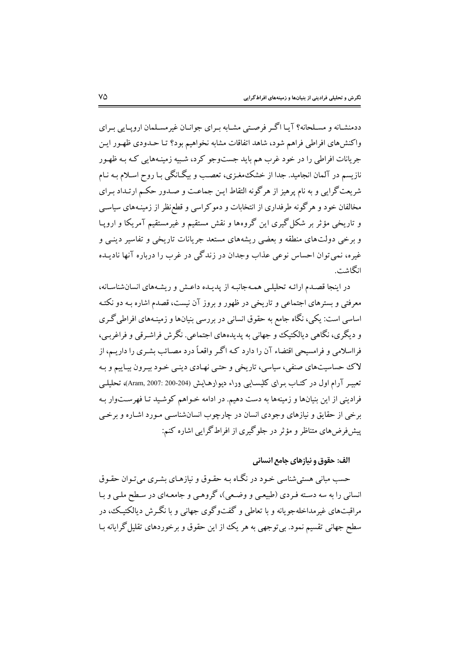ددمنشـانه و مسـلحانه؟ آپـا اگـر فرصـتي مشـابه بـراي جوانـان غيرمسـلمان اروپـايي بـراي واكنش،هاي افراطي فراهم شود، شاهد اتفاقات مشابه نخواهيم بود؟ تـا حــدودي ظهـور ايـن جریانات افراطی را در خود غرب هم باید جستوجو کرد، شـبیه زمینـههایی کـه بـه ظهـور نازیسم در آلمان انجامید. جدا از خشک،مغـزی، تعصـب و بیگـانگی بـا روح اسـلام بـه نـام شریعت گرایی و به نام پرهیز از هر گونه التقاط این جماعت و صـدور حکـم ارتـداد بـرای مخالفان خود و هرگونه طرفداری از انتخابات و دموکراسی و قطع نظر از زمینـههای سیاسـی و تاریخی مؤثر بر شکل گیری این گروهها و نقش مستقیم و غیرمستقیم آمریکا و اروپـا و برخی دولتهای منطقه و بعضی ریشههای مستعد جریانات تاریخی و تفاسیر دینبی و غیره، نمی توان احساس نوعی عذاب وجدان در زندگی در غرب را درباره آنها نادیـده انگاڻ س

در اینجا قصدم ارائـه تحلیلـی همـهجانبـه از پدیـده داعـش و ریشـههای انسانشناسـانه، معرفتی و بسترهای اجتماعی و تاریخی در ظهور و بروز آن نیست، قصدم اشاره بـه دو نکتـه اساسی است: یکی، نگاه جامع به حقوق انسانی در بررسی بنیانها و زمینـههای افراطی گـری و ديگري، نگاهي ديالکتيک و جهاني به پديدههاي اجتماعي. نگرش فراشيرقي و فراغربي، فرااسلامی و فرامسیحی اقتضاء آن را دارد کـه اگـر واقعـاً درد مصـائب بشـری را داریـم، از لاک حساسیتهای صنفی، سیاسی، تاریخی و حتبی نهـادی دینـی خـود پيـرون پيـاييم و بـه تعبیـر آرام اول در کتـاب بـرای کلیسـایبی وراء دیوارهـایـش (200-200 :2007)، تحلیلــی فرادینی از این بنیانها و زمینهها به دست دهیم. در ادامه خـواهم کوشـید تـا فهرسـتوار بـه برخي از حقايق و نيازهاي وجودي انسان در چارچوب انسان شناسبي مـورد اشـاره و برخـي پیش فرض های متناظر و مؤثر در جلوگیری از افراط گرایی اشاره کنم:

الف: حقوق و نيازهاي جامع انساني

حسب مباني هستي شناسي خـود در نگـاه بـه حقـوق و نيازهـاي بشـري مي تـوان حقـوق انسانی را به سه دسته فیردی (طبیعی و وضعی)، گروهبی و جامعهای در سطح ملبی و پا مراقبتهای غیرمداخله جو مانه و یا تعاطے و گفتوگوی جهانے و یا نگ ش دیالکتیک، در سطح جهانی تقسیم نمود. بیتوجهی به هر یک از این حقوق و برخوردهای تقلیل گرایانه بـا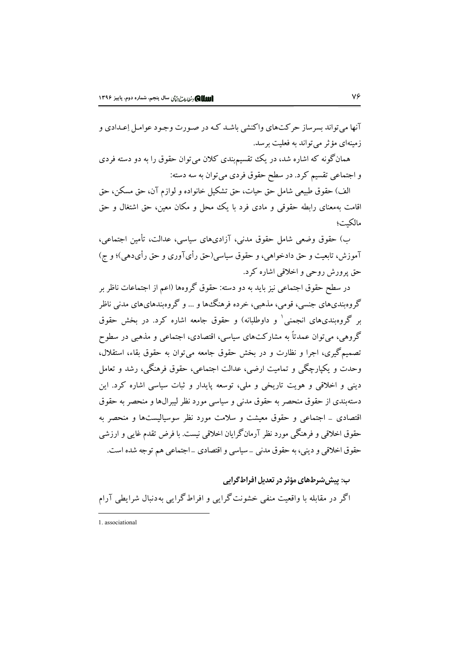آنها می تواند بسرساز حرکتهای واکنشی باشـد کـه در صـورت وجـود عوامـل إعـدادی و زمینهای مؤثر می تواند به فعلیت برسد.

همانگونه که اشاره شد، در یک تقسیمبندی کلان می توان حقوق را به دو دسته فردی و اجتماعی تقسیم کرد. در سطح حقوق فردی می توان به سه دسته:

الف) حقوق طبیعی شامل حق حیات، حق تشکیل خانواده و لوازم آن، حق مسکن، حق اقامت بهمعنای رابطه حقوقی و مادی فرد با یک محل و مکان معین، حق اشتغال و حق مالكيت؛

ب) حقوق وضعی شامل حقوق مدنی، آزادیهای سیاسی، عدالت، تأمین اجتماعی، آموزش، تابعیت و حق دادخواهی، و حقوق سیاسی(حق رأیآوری و حق رأیدهی)؛ و ج) حق يرورش روحي و اخلاقي اشاره كرد.

در سطح حقوق اجتماعی نیز باید به دو دسته: حقوق گروهها (اعم از اجتماعات ناظر بر گروهبنديهاي جنسي، قومي، مذهبي، خرده فرهنگ\$ا و … و گروهبندهايهاي مدني ناظر بر گروهبندیهای انجمنی و داوطلبانه) و حقوق جامعه اشاره کرد. در بخش حقوق گروهی، می توان عمدتاً به مشارکتهای سیاسی، اقتصادی، اجتماعی و مذهبی در سطوح تصميم گيري، اجرا و نظارت و در بخش حقوق جامعه مي توان به حقوق بقاء، استقلال، وحدت و یکپارچگی و تمامیت ارضی، عدالت اجتماعی، حقوق فرهنگی، رشد و تعامل دینی و اخلاقی و هویت تاریخی و ملی، توسعه پایدار و ثبات سیاسی اشاره کرد. این دستهبندی از حقوق منحصر به حقوق مدنی و سیاسی مورد نظر لیبرالها و منحصر به حقوق اقتصادی \_ اجتماعی و حقوق معیشت و سلامت مورد نظر سوسیالیستها و منحصر به حقوق اخلاقی و فرهنگی مورد نظر آرمانگرایان اخلاقی نیست. با فرض تقدم غایی و ارزشی حقوق اخلاقی و دینی، به حقوق مدنی \_سیاسی و اقتصادی \_اجتماعی هم توجه شده است.

ب: پیش شرطهای مؤثر در تعدیل افراط گرایی اگر در مقابله با واقعیت منفی خشونت گرایی و افراط گرایی بهدنبال شرایطی آرام

1 associational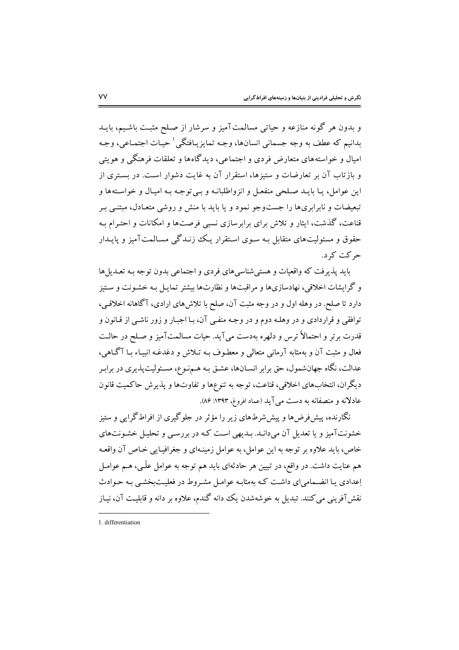و بدون هر گونه منازعه و حیاتی مسالمتآمیز و سرشار از صلح مثبت باشیم، بایـد بدانيم كه عطف به وجه جسماني انسانها، وجـه تمايزيـافتگي ٰ حيـات اجتمـاعي، وجـه امیال و خواسته های متعارض فردی و اجتماعی، دیدگاه ها و تعلقات فرهنگی و هویتی و بازتاب آن بر تعارضات و ستبزها، استقرار آن به غایت دشوار است. در بستری از اين عوامل، يـا بايـد صـلحي منفعـل و انزواطلبانـه و بـي توجـه بـه اميـال و خواسـتهها و تبعیضات و نابرابریها را جستوجو نمود و یا باید با منش و روشی متعـادل، مبتنـی بـر قناعت، گذشت، ایثار و تلاش برای برابرسازی نسبی فرصتها و امکانات و احتـرام بـه حقوق و مسئولیتهای متقابل بـه سـوی اسـتقرار یـک زنـدگی مسـالمتآمیز و پایـدار حرکت کر د.

باید پذیرفت که واقعیات و هستی شناسیهای فردی و اجتماعی بدون توجه بـه تعـدیلها و گرایشات اخلاقی، نهادسازیها و مراقبتها و نظارتها بیشتر تمایـل بـه خشـونت و سـتیز دارد تا صلح. در وهله اول و در وجه مثبت آن، صلح با تلاشهای ارادی، آگاهانه اخلاقبی، توافقی و قراردادی و در وهلـه دوم و در وجـه منفـی آن، بـا اجبـار و زور ناشـی از قـانون و قدرت برتر و احتمالاً ترس و دلهره بهدست می آید. حیات مسالمتآمیز و صلح در حالـت فعال و مثبت آن و بهمثابه آرمانی متعالی و معطـوف بـه تـلاش و دغدغـه انبیـاء بـا آگـاهی، عدالت، نگاه جهانشمول، حق برابر انســانها، عشـق بـه هــمنـوع، مسـئوليتپنديري در برابـر ديگران، انتخابهاي اخلاقي، قناعت، توجه به تنوعها و تفاوتها و پذيرش حاكميت قانون عادلانه و منصفانه به دست می آید (عماد افروغ، ۱۳۹۳: ۸۶).

نگارنده، پیشفررضها و پیششرطهای زیر را مؤثر در جلوگیری از افراطگرایی و ستیز خشونتآمیز و یا تعدیل آن می دانید. بیدیهی است کیه در بررسبی و تحلیل خشونتهای خاص، باید علاوه بر توجه به این عوامل، به عوامل زمینـهای و جغرافیـایی خـاص آن واقعـه هم عنایت داشت. در واقع، در تبیین هر حادثهای باید هم توجه به عوامل علّمی، هـم عوامـل إعدادي يـا انضـمامي اي داشـت كـه بهمثابـه عوامـل مشـروط در فعليـتبخشـي بـه حـوادث نقش آفرینی می کنند. تبدیل به خوشهشدن یک دانه گندم، علاوه بر دانه و قابلیت آن، نیـاز

<sup>1</sup> differentiation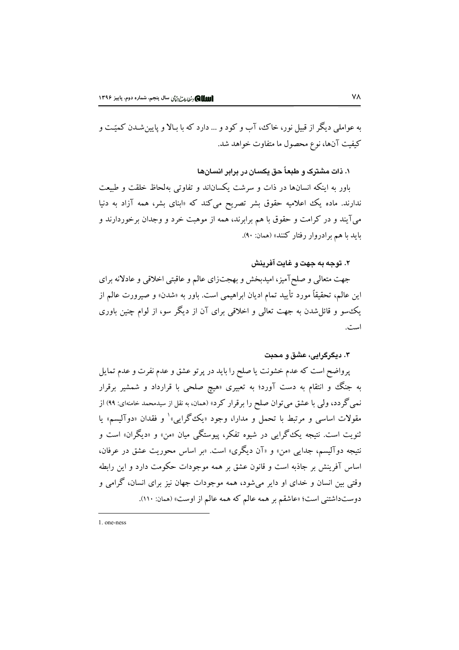په عواملي ديگر از قبيل نور، خاک، آب و کود و ... دارد که يا بالا و پايين شيدن کميّت و كيفيت آنها، نوع محصول ما متفاوت خواهد شد.

۰. ذات مشترک و طبعاً حق یکسان در برابر انسانها

باور به اینکه انسانها در ذات و سرشت یکساناند و تفاوتی بهلحاظ خلقت و طبیعت ندارند. ماده یک اعلامیه حقوق بشر تصریح میکند که «ابنای بشر، همه آزاد به دنیا میآیند و در کرامت و حقوق با هم برابرند، همه از موهبت خرد و وجدان برخوردارند و باید با هم برادروار رفتار کنند» (همان: ۹۰).

## ۲. توجه به جهت و غایت آفرینش

جهت متعالی و صلح آمیز، امیدبخش و بهجتزای عالم و عاقبتی اخلاقی و عادلانه برای این عالم، تحقیقاً مورد تأیید تمام ادیان ابراهیمی است. باور به «شدن» و صیرورت عالم از یک سو و قائل شدن به جهت تعالمی و اخلاقی برای آن از دیگر سو، از لوام چنین باوری است.

#### ۳. دیگرگرایی، عشق و محبت

پرواضح است که عدم خشونت یا صلح را باید در پرتو عشق و عدم نفرت و عدم تمایل به جنگ و انتقام به دست آورد؛ به تعبیری «هیچ صلحی با قرارداد و شمشیر برقرار نمی گردد، ولی با عشق می توان صلح را برقرار کرد» (همان، به نقل از سیدمحمد خامنهای: ۹۹) از مقولات اساسی و مرتبط با تحمل و مدارا، وجود «یک گرایبی» و فقدان «دوآلیسم» یا ثنویت است. نتیجه یک گرای<sub>ج</sub> در شیوه تفکر، پیوستگی میان «من» و «دیگران» است و نتیجه دوآلیسم، جدای<sub>ی</sub> «من» و «آن دیگری» است. «بر اساس محوریت عشق در عرفان، اساس آفرینش بر جاذبه است و قانون عشق بر همه موجودات حکومت دارد و این رابطه وقتی بین انسان و خدای او دایر میشود، همه موجودات جهان نیز برای انسان، گرامی و دوستداشتني است؛ «عاشقم بر همه عالم كه همه عالم از اوست» (همان: ١١٠).

 $1$  one-ness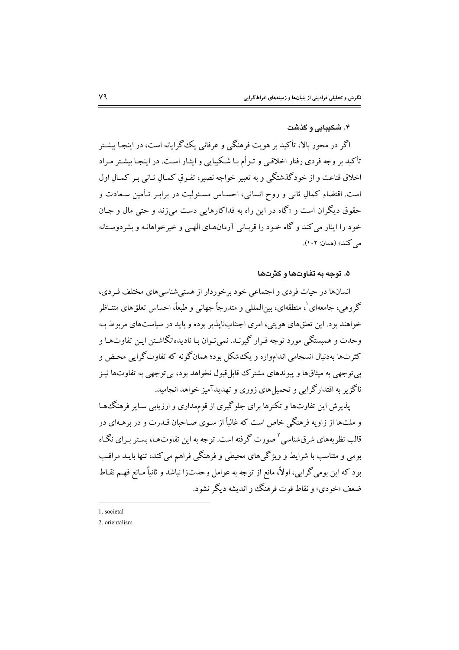## ۴. شکیبایی و گذشت

اگر در محور پالا، تأکید بر هویت فرهنگی و عرفانی یک گرایانه است، در اینجیا بیشتر تأکید بر وجه فردی رفتار اخلاقبی و تـوأم بـا شـکیبایی و ایثـار اسـت. در اینجـا بیشـتر مـراد اخلاق قناعت و از خودگذشتگی و به تعبیر خواجه نصیر، تفـوق کمـالِ ثـانی بـر کمـالِ اول است. اقتضاءِ کمالِ ثانی و روح انسانی، احسـاس مسـئولیت در برابـر تـأمین سـعادت و حقوق دیگران است و «گاه در این راه به فداکارهایی دست می;ند و حتبی مال و جـان خود را ایثار می کند و گاه خـود را قربـانی آرمانهـای الهـی و خیرخواهانـه و بشردوسـتانه مه کند» (همان: ۱۰۲).

#### ۵. توجه به تفاوتها و کثرتها

انسانها در حبات فردی و اجتماعی خود برخوردار از هستی شناسی های مختلف فیردی، گروهي، جامعهاي `، منطقهاي، بينالمللي و متدرجاً جهاني و طبعاً، احساس تعلقهاي متنـاظر خواهند بود. این تعلقهای هویتی، امری اجتنابناپذیر بوده و باید در سیاستهای مربوط بـه وحدت و همبستگی مورد توجه قـرار گیرنـد. نمی تـوان بـا نادیدهانگاشـتن ایـن تفاوتهـا و کثرتها بهدنبال انسجامي اندامواره و يک شکل بود؛ همانگونه که تفاوتگرايي محض و بي توجهي به ميثاقها و پيوندهاي مشترک قابل قبول نخواهد بود، بي توجهي به تفاوتها نيـز .<br>ناگز بر به اقتدارگرایی و تحمیل های زوری و تهدیدآمیز خواهد انجامید.

یذیرش این تفاوتها و تکثرها برای جلوگیری از قومهداری و ارزیابی سـایر فرهنگـُهـا و ملتها از زاویه فرهنگی خاص است که غالباً از سـوی صـاحبان قـدرت و در برهـهای در ۔<br>قالب نظر بههای شرق شناسی <sup>۲</sup> صورت گرفته است. توجه به این تفاوتها، بستر بـرای نگـاه بومی و متناسب با شرایط و ویژگیهای محیطی و فرهنگی فراهم می کند، تنها بایــد مراقـب بود که این بومی گرایی، اولاً، مانع از توجه به عوامل وحدتزا نباشد و ثانیاً مـانع فهـم نقـاط ضعف «خودي» و نقاط قوت فرهنگ و انديشه ديگر نشود.

1. societal

<sup>2.</sup> orientalism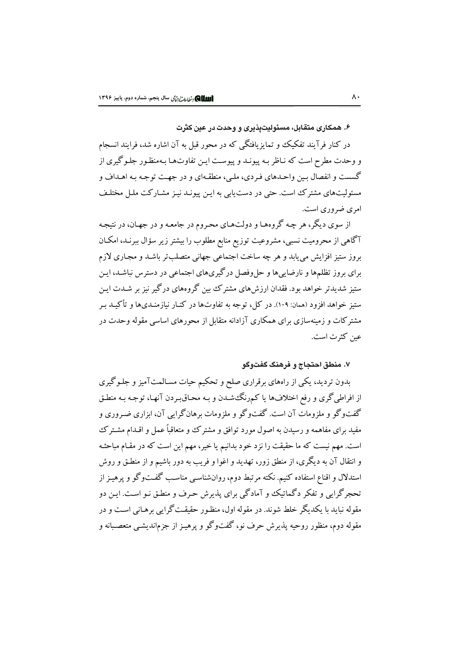۶. همکاری متقابل، مسئولیتیذیری و وحدت در عین کثرت

در کنار فرآیند تفکیک و تمایزیافتگی که در محور قبل به آن اشاره شد، فرایند انسجام و وحدت مطرح است که نـاظر بـه پیونـد و پیوسـت ایـن تفاوتهـا بـهمنظـور جلـوگیری از گسست و انفصال بـین واحـدهای فـردی، ملـی، منطقـهای و در جهـت توجـه بـه اهـداف و مسئولیتهای مشترک است. حتی در دست یابی به ایـن پیونـد نیـز مشـارکت ملـل مختلـف امړي ضروري است.

از سوی دیگر، هر چه گروههـا و دولتهـای محـروم در جامعـه و در جهـان، در نتيجـه آگاهی از محرومیت نسبی، مشروعیت توزیع منابع مطلوب را بیشتر زیر سؤال ببرنـد، امکـان بروز ستیز افزایش می یابد و هر چه ساخت اجتماعی جهانی متصلبتر باشـد و مجـاری لازم برای بروز تظلمها و نارضاییها و حل وفصل در گیریهای اجتماعی در دسترس نباشـد، ایـن ستیز شدیدتر خواهد بود. فقدان ارزش های مشترک بین گروههای درگیر نیز بر شــدت ایـن ستیز خواهد افزود (همان: ۱۰۹). در کل، توجه به تفاوتها در کنـار نیازمنـدیها و تأکـیـد ب مشتر کات و زمینهسازی برای همکاری آزادانه متقابل از محورهای اساسی مقوله وحدت در عين كثرت است.

## ۷. منطق احتجاج و فرهنگ گفتوگو

بدون تردید، یکی از راههای برقراری صلح و تحکیم حیات مسـالمتآمیز و جلـوگیری از افراطي گري و رفع اختلافها يا كمرنگ شـدن و بـه محـاقبـردن آنهـا، توجـه بـه منطـق گفتوگو و ملزومات آن است. گفتوگو و ملزومات برهانگرایی آن، ابزاری ضـروری و مفید برای مفاهمه و رسیدن به اصول مورد توافق و مشترک و متعاقباً عمل و اقــدام مشــترک است. مهم نیست که ما حقیقت را نزد خود بدانیم یا خیر، مهم این است که در مقـام مباحثـه و انتقال آن به دیگری، از منطق زور، تهدید و اغوا و فریب به دور باشیم و از منطـق و روش استدلال و اقناع استفاده کنیم. نکته مرتبط دوم، روانشناسبی مناسب گفتوگو و پرهیـز از تحجرگرایی و تفکر دگماتیک و آمادگی برای پذیرش حرف و منطـق نـو اسـت. ایـن دو مقوله نبايد با يكديگر خلط شوند. در مقوله اول، منظـور حقيقـت گرايي برهـاني اسـت و در مقوله دوم، منظور روحیه پذیرش حرف نو، گفتوگو و پرهیـز از جزم|ندیشـی متعصـبانه و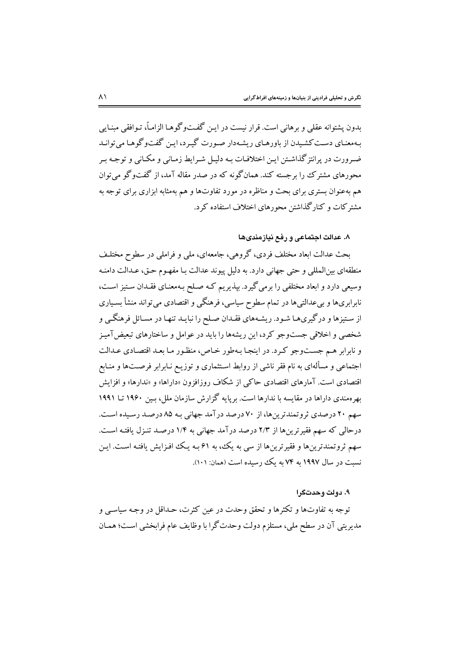بدون پشتوانه عقلی و برهانی است. قرار نیست در ایـن گفـتوگوهـا الزامـاً، تـوافقی مبنـایی بهمعنـای دسـت کشـیدن از باورهـای ریشـهدار صـورت گیـرد، ایـن گفتوگوهـا می توانـد ضه ورت در پرانتز گذاشتن ایـن اختلافـات بـه دلیـل شـرایط زمـانی و مکـانی و توجـه بـر محورهای مشترک را برجسته کند. همانگونه که در صدر مقاله آمد، از گفتوگو می توان هم بهعنوان بستری برای بحث و مناظره در مورد تفاوتها و هم بهمثابه ابزاری برای توجه به مشتر کات و کنار گذاشتن محورهای اختلاف استفاده کرد.

## ٨. عدالت اجتماعی و رفع نیازمندیها

بحث عدالت ابعاد مختلف فردي، گروهي، جامعهاي، ملي و فراملي در سطوح مختلـف منطقهاي بينالمللي و حتى جهاني دارد. به دليل پيوند عدالت بـا مفهـوم حـق، عـدالت دامنـه وسیعی دارد و ابعاد مختلفی را برمی گیرد. بیذیریم کـه صـلح بـهمعنـای فقـدان سـتیز اسـت، نابرابریها و بیعدالتیها در تمام سطوح سیاسی، فرهنگی و اقتصادی می تواند منشأ بسـیاری از ستیزها و درگیریهـا شـود. ریشـههای فقـدان صـلح را نبایـد تنهـا در مسـائل فرهنگـی و شخصی و اخلاقی جستوجو کرد، این ریشهها را باید در عوامل و ساختارهای تبعیض آمیز و نابرابر هـم جسـتوجو كـرد. در اينجـا بـهطور خـاص، منظـور مـا بعـد اقتصـادي عـدالت اجتماعی و مسألهای به نام فقر ناشی از روابط استثماری و توزیـع نـابرابر فرصـتها و منـابع اقتصادی است. آمارهای اقتصادی حاکمی از شکاف روزافزون «داراها» و «ندارها» و افزایش بهر ممندی داراها در مقایسه با ندارها است. برپایه گزارش سازمان ملل، پس ۱۹۶۰ تنا ۱۹۹۱ سهم ۲۰ درصدی ثروتمندترین ها، از ۷۰ درصد در آمد جهانی به ۸۵ درصد رسیده است. درحالی که سهم فقیرترینها از ۲/۳ درصد درآمد جهانی به ۱/۴ درصـد تنـزل یافتـه اسـت. سهم ثروتمندترینها و فقیرترینها از سی به یک، به ۶۱ بـه یـک افـزایش یافتـه اسـت. ایـن نسبت در سال ۱۹۹۷ به ۷۴ به یک رسیده است (همان: ۱۰۱).

#### ۹. دولت و حدتگرا

توجه به تفاوتها و تکثرها و تحقق وحدت در عین کثرت، حـداقل در وجـه سیاسـی و مديريتي آن در سطح ملي، مستلزم دولت وحدت گرا با وظايف عام فرابخشي است؛ همـان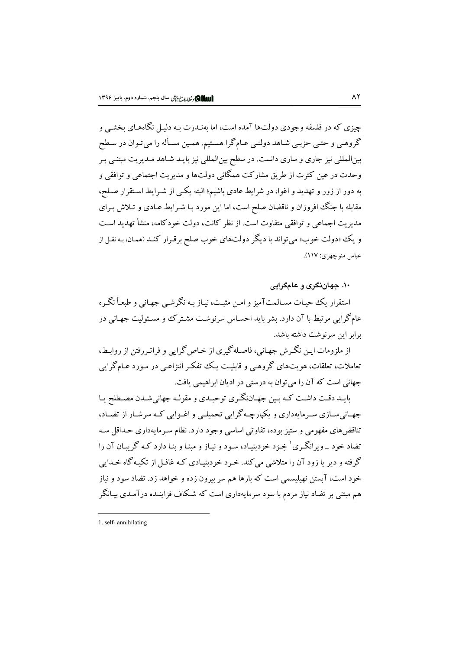چیزی که در فلسفه وجودی دولتها آمده است، اما بهنـدرت بـه دلیـل نگاههـای بخشـی و گروهـي و حتـي حزبـي شـاهد دولتـي عـام گرا هسـتيم. همـين مسـأله را مي تـوان در سـطح بینالمللی نیز جاری و ساری دانست. در سطح بینالمللی نیز بایـد شـاهد مـدیریت مبتنـی بـر وحدت در عین کثرت از طریق مشارکت همگانی دولتها و مدیریت اجتماعی و توافقی و به دور از زور و تهدید و اغوا، در شرایط عادی باشیم؛ البته یکپی از شـرایط اسـتقرار صـلح، مقابله با جنگ افروزان و ناقضان صلح است، اما این مورد بـا شـرایط عـادی و تـلاش بـرای مدیریت اجماعی و توافقی متفاوت است. از نظر کانت، دولت خودکامه، منشأ تهدید است و یک «دولت خوب» می تواند با دیگر دولتهای خوب صلح برقـرار کنـد (همـان، بـه نقـل از عباس منو چهري: ١١٧).

۱۰. جهان نگری و عامگرایی

استقرار یک حیات مسالمتآمیز و امن مثبت، نیاز به نگرشبی جهانی و طبعیاً نگیره عامگرایی مرتبط با آن دارد. بشر باید احسـاس سرنوشـت مشـتر کـُ و مسـئوليت جهـانی در برابر این سرنوشت داشته باشد.

از ملزومات ایـن نگـرش جهـانی، فاصـله گیری از خـاص گرایی و فراتـررفتن از روابـط، تعاملات، تعلقات، هویتهای گروهـی و قابلیـت یـک تنفکـر انتزاعـی در مـورد عـامگرایی جهانی است که آن را می توان به درستی در ادیان ابراهیمی یافت.

بایـد دقـت داشـت کـه بـین جهـاننگـري توحیـدي و مقولـه جهانيشـدن مصـطلح يـا جهـاني سـازي سـرمايهداري و يکپارچـه گرايي تحميلـي و اغـوايي کـه سرشـار از تضـاد، تناقضهای مفهومی و ستیز بوده، تفاوتی اساسی وجود دارد. نظام سـرمایهداری حـداقل سـه تضاد خود \_ویرانگـری<sup>۱</sup> خِـرَد خودبنیـاد، سـود و نیـاز و مبنـا و بنـا دارد کـه گریبـان آن را گرفته و دیر یا زود آن را متلاشی می کند. خـرد خودبنیـادی کـه غافـل از تکیـه گاه خـدایی خود است، آیستن نهبلیسمی است که بارها هم سر پیرون زده و خواهد زد. تضاد سود و نیاز هم مبتنی بر تضاد نیاز مردم با سود سرمایهداری است که شکاف فزاینـده درآمـدی بیـانگر

<sup>1.</sup> self-annihilating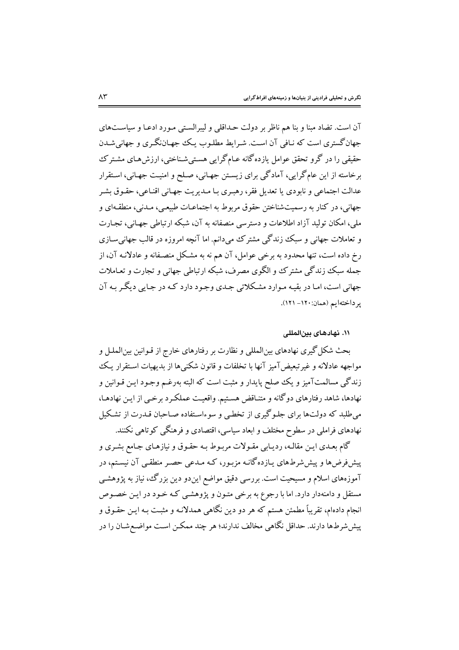آن است. تضاد مبنا و بنا هم ناظر بر دولت حـداقلی و لیبرالسـتی مـورد ادعـا و سیاسـتهای جهان گستری است که نـافی آن اسـت. شـرايط مطلـوب يـک جهـاننگـري و جهانيشـدن حقیقی را در گرو تحقق عوامل یازده گانه عـامگرایی هسـتیشـناختی، ارزشهـای مشـترک برخاسته از این عامگرایی، آمادگی برای زیستن جهـانی، صـلح و امنیـت جهـانی، اسـتقرار عدالت اجتماعي و نابودي يا تعديل فقر، رهبـري بـا مـديريت جهـاني اقنـاعي، حقـوق بشـر جهانی، در کنار به رسمیتشناختن حقوق مربوط به اجتماعـات طبیعـی، مـدنی، منطقـهای و ملي، امكان توليد آزاد اطلاعات و دسترسي منصفانه به آن، شبكه ارتباطي جهـاني، تجـارت و تعاملات جهانی و سبک زندگی مشترک می دانم. اما آنچه امروزه در قالب جهانی سـازی رخ داده است، تنها محدود به برخی عوامل، آن هم نه به مشکل منصـفانه و عادلانـه آن، از جمله سبک زندگی مشترک و الگوی مصرف، شبکه ارتباطی جهانی و تجارت و تعـاملات جهانی است، امـا در بقیـه مـوارد مشـکلاتی جـدی وجـود دارد کـه در جـایی دیگـر بـه آن ير داختهايم (همان: ١٢٠- ١٢١).

## ۰۱۱ نهادهای بین المل*لی*

بحث شکل گیری نهادهای بین|لمللی و نظارت بر رفتارهای خارج از قـوانین بین|لملـل و مواجهه عادلانه و غیرتبعیضآمیز آنها با تخلفات و قانون شکنیها از بدیهیات استقرار یک زندگی مسالمتآمیز و یک صلح پایدار و مثبت است که البته بهرغـم وجـود ایــن قــوانین و نهادها، شاهد رفتارهای دوگانه و متنـاقض هسـتیم. واقعیـت عملکـرد برخـی از ایـن نهادهـا، می طلبد که دولتها برای جلـوگیری از تخطـی و سوءاسـتفاده صـاحبان قـدرت از تشـکیل نهادهای فراملی در سطوح مختلف و ابعاد سیاسی، اقتصادی و فرهنگی کوتاهی نکنند.

گام بعـدي ايـن مقالـه، رديـابي مقـولات مربـوط بـه حقـوق و نيازهـاي جـامع بشـري و پیشفروضها و پیششرطهای یـازدهگانـه مزبـور، کـه مـدعی حصـر منطقـی آن نیسـتم، در آموزههای اسلام و مسیحیت است. بررسی دقیق مواضع ایندو دین بزرگ، نیاز به پژوهشـی مستقل و دامنهدار دارد. اما با رجوع به برخی متـون و پژوهشـی کـه خـود در ایـن خصـوص انجام دادهام، تقریباً مطمئن هستم که هر دو دین نگاهی همدلانـه و مثبـت بـه ایـن حقـوق و پیششرطها دارند. حداقل نگاهی مخالف ندارند؛ هر چند ممکـن اسـت مواضـع شـان را در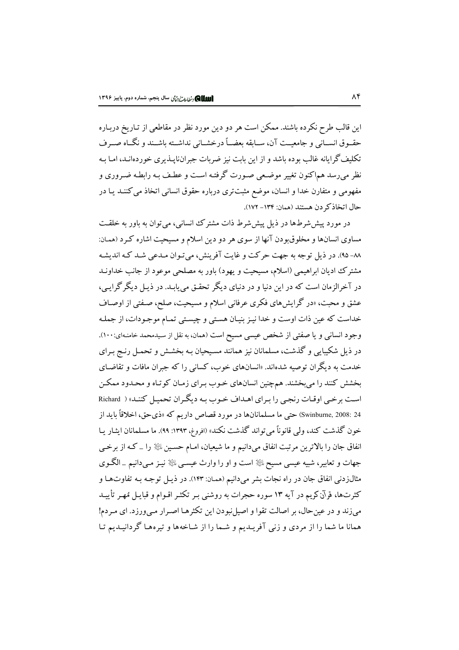این قالب طرح نکرده باشند. ممکن است هر دو دین مورد نظر در مقاطعی از تـاریخ دربـاره حقــوق انســاني و جامعيــت آن، ســابقه بعضــاً درخشــاني نداشــته باشــند و نگــاه صــرف تکلیف گرایانه غالب بو ده باشد و از این بابت نیز ضربات جبران،ایـذیری خوردهانـد، امـا بـه نظر میرسد هماکنون تغییر موضعی صورت گرفته است و عطف بـه رابطـه ضـروری و مفهومی و متفارن خدا و انسان، موضع مثبتتری درباره حقوق انسانی اتخاذ می کننـد یـا در حال اتخاذكر دن هستند (همان: ١٣٤- ١٧٢).

در مورد پیش شرطها در ذیل پیش شرط ذات مشترک انسانی، می توان به باور به خلقت مساوی انسانها و مخلوق بودن آنها از سوی هر دو دین اسلام و مسیحیت اشاره کـرد (همـان: ٨٨- ٩٥). در ذيل توجه به جهت حركت و غايت آفرينش، مي تـوان مـدعى شـد كـه انديشـه مشترک ادیان ابراهیمی (اسلام، مسیحیت و یهود) باور به مصلحی موعود از جانب خداونـد در آخرالزمان است که در این دنیا و در دنیای دیگر تحقـق مییابـد. در ذیـل دیگر گرایـی، عشق و محبت، «در گرایشهای فکری عرفانی اسلام و مسیحیت، صلح، صـفتی از اوصـاف خداست كه عين ذات اوست و خدا نيـز بنيـان هسـتي و چيسـتي تمـام موجـودات، از جملـه وجود انسانی و یا صفتی از شخص عیسی مسیح است (همان، به نقل از سیدمحمد خامنـهای:۱۰۰). در ذیل شکیبایی و گذشت، مسلمانان نیز همانند مسیحیان بـه بخشـش و تحمـل رنـج بـرای خدمت به دیگران توصیه شدهاند. «انسانهای خوب، کسانی را که جبران مافات و تقاضـای بخشش کنند را میبخشند. همچنین انسانهای خـوب بـرای زمـان کوتـاه و محـدود ممکـن است برخی اوقـات رنجـی را بـرای اهـداف خـوب بـه دیگـران تحمیـل کننـد» ( Richard Swinburne, 2008: 24) حتى ما مسلمانانها در مورد قصاص داريم كه «ذي حق، اخلاقاً بايد از خون گذشت کند، ولی قانوناً میتواند گذشت نکند» (افروغ، ۱۳۹۳: ۹۹). ما مسلمانان ایشار یـا انفاق جان را بالاترین مرتبت انفاق میدانیم و ما شیعیان، امـام حسـین ﷺ را \_ کـه از برخـی جهات و تعابیر، شبیه عیسی مسیح ﷺ است و او را وارث عیسـی ﷺ نیـز مـیدانیم \_الگـوی مثالزدنی انفاق جان در راه نجات بشر میدانیم (همان: ۱۴۳). در ذیـل توجـه بـه تفاوتهـا و کثرتها، قرآن کریم در آیه ۱۳ سوره حجرات به روشنی بـر تکثـر اقـوام و قبایـل مُهـر تأییـد می زند و در عین حال، بر اصالت تقوا و اصیل نبودن این تکثرهـا اصـرار مـی ورزد. ای مـردم! همانا ما شما را از مردی و زنی آفریـدیم و شـما را از شـاخهها و تیرههـا گردانیـدیم تـا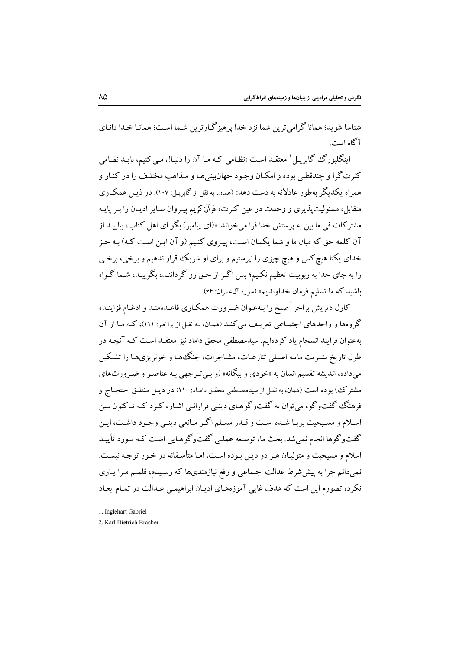شناسا شو بد؛ همانا گرامی ترین شما نزد خدا پرهیز گـارترین شـما اسـت؛ همانـا خـدا دانـای آگاه است.

اینگلبورگ گابریـل<sup>'</sup> معتقــد اسـت «نظـامی کـه مــا آن را دنبـال مــیکنیم، بایــد نظـامی کثرتگرا و چندقطبی بوده و امکـان وجـود جهان.پینیهـا و مـذاهب مختلـف را در کنـار و همراه یکدیگر بهطور عادلانه به دست دهد» (همان، به نقل از گابریـل: ۱۰۷). در ذیـل همکـاری متقابل، مسئولیتپندیری و وحدت در عین کثرت، قرآن کریم پیـروان سـایر ادیـان را بـر پایـه مشتر کات فی ما بین به پرستش خدا فرا می خواند: «(ای پیامبر ) بگو ای اهل کتاب، بیاییــد از آن کلمه حق که میان ما و شما یکسان است، پیروی کنیم (و آن این است کـه) بـه جـز خدای یکتا هیچ کس و هیچ چیزی را نیرستیم و برای او شریک قرار ندهیم و برخی، برخبی را به جای خدا به ربوبیت تعظیم نکنیم؛ پس اگـر از حـق رو گرداننـد، بگوییـد، شـما گـواه باشيد كه ما تسليم فرمان خداونديم» (سوره آلءمران: ۶۴).

کارل دتریش براخر <sup>۲</sup>صلح را بـهعنوان ضـرورت همکـاری قاعـدهمنـد و ادغـام فزاینـده گروهها و واحدهای اجتماعی تعریف می کند (همان، به نقل از براخر: ۱۱۱)، که ما از آن بهعنوان فرایند انسجام یاد کردهایم. سیدمصطفی محقق داماد نیز معتقـد اسـت کـه آنچـه در طول تاریخ بشـریت مایـه اصـلی تنازعـات، مشـاجرات، جنگـهـا و خونریزیهـا را تشـكیل میداده، اندیشه تقسیم انسان به «خودی و بیگانه» (و بـی تـوجهی بـه عناصـر و ضـرورتهای مشترک) بوده است (همان، به نقـل از سیدمصـطفی محقـق دامـاد: ۱۱۰) در ذیـل منطـق احتجـاج و فرهنگ گفتوگو، می توان به گفتوگوهـای دینـی فراوانـی اشـاره کـرد کـه تـاکنون بـین اسلام و مسیحیت بریـا شـده اسـت و قـدر مسـلم اگـر مـانعی دینـی وجـود داشـت، ایـن گفتوگوها انجام نمی شد. بحث ما، توسعه عملبی گفتوگوهـایی است کـه مـورد تأییـد اسلام و مسیحیت و متولیـان هـر دو دیـن بـوده اسـت، امـا متأسـفانه در خـور توجـه نیسـت. نمیدانم چرا به پیششرط عدالت اجتماعی و رفع نیازمندیها که رسیدم، قلمـم مـرا یـاری نکرد، تصورم این است که هدف غایی آموزههـای ادیـان ابراهیمـی عـدالت در تمـام ابعـاد

<sup>1.</sup> Inglehart Gabriel

<sup>2.</sup> Karl Dietrich Bracher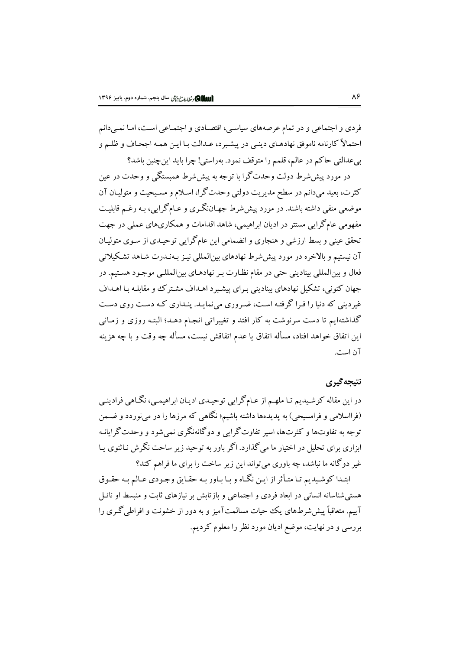فردي و اجتماعي و در تمام عرصههاي سياسي، اقتصادي و اجتمـاعي اسـت، امـا نمـيدانم احتمالاً كارنامه ناموفق نهادهـاي دينـي در پيشـبرد، عـدالت بـا ايـن همـه اجحـاف و ظلـم و بي عدالتي حاكم در عالم، قلمم را متوقف نمود. بهراستي! چرا بايد اين چنين باشد؟

در مورد پیششرط دولت وحدتگرا با توجه به پیششرط همبستگی و وحدت در عین کثرت، بعید میدانم در سطح مدیریت دولتی وحدتگرا، اسلام و مسیحیت و متولیـان آن موضعی منفی داشته باشند. در مورد پیش شرط جهـاننگـری و عـامگرایی، بـه رغـم قابلیـت مفهومی عامگرایی مستتر در ادیان ابراهیمی، شاهد اقدامات و همکاریهای عملی در جهت تحقق عینی و بسط ارزشی و هنجاری و انضمامی این عامگرایی توحیـدی از سـوی متولیـان .<br>آن نیستیم و بالاخره در مورد پیش شرط نهادهای بین|لملل<sub>ی</sub> نیـز بـهنـدرت شـاهد تشـکیلاتی فعال و بينالمللي بيناديني حتى در مقام نظـارت بـر نهادهـاي بين|لمللـي موجـود هسـتيم. در جهان کنونی، تشکیل نهادهای بینادینی بـرای پیشـبرد اهـداف مشـتر ک وو مقابلـه بـا اهـداف غیردینی که دنیا را فـرا گرفتـه اسـت، ضـروری میiمایـد. پنـداری کـه دسـت روی دسـت گذاشتهایم تا دست سرنوشت به کار افتد و تغییراتی انجـام دهـد؛ البتـه روزی و زمـانی اين اتفاق خواهد افتاد، مسأله اتفاق يا عدم اتفاقش نيست، مسأله چه وقت و با چه هزينه آن است.

## نتيجه گيري

در این مقاله کوشیدیم تـا ملهـم از عـامگرایی توحیـدی ادیـان ابراهیمـی، نگـاهی فرادینـی (فرااسلامی و فرامسیحی) به پدیدهها داشته باشیم؛ نگاهی که مرزها را در می نوردد و ضـمن توجه به تفاوتها و کثرتها، اسیر تفاوت گرایی و دو گانهنگری نمی شود و وحدت گرایانـه ابزاری برای تحلیل در اختیار ما می گذارد. اگر باور به توحید زیر ساحت نگرش نـاثنوی پـا .<br>غیر دوگانه ما نباشد، چه باوری می تواند این زیر ساخت را برای ما فراهم کند؟

ابتـدا کوشـیدیم تـا متـأثر از ایـن نگـاه و بـا بـاور بـه حقـایق وجـودی عـالم بـه حقـوق هستی شناسانه انسانی در ابعاد فردی و اجتماعی و بازتابش بر نیازهای ثابت و منبسط او نائـل آییم. متعاقباً پیش شرطهای یک حیات مسالمتآمیز و به دور از خشونت و افراطی گـری را بررسی و در نهایت، موضع ادیان مورد نظر را معلوم کردیم.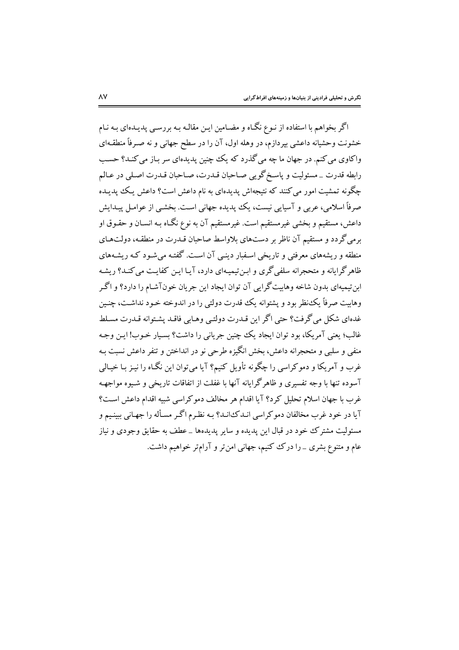اگر بخواهم با استفاده از نـوع نگــاه و مضــامین ایـن مقالـه بـه بررســی پدیــدهای بـه نـام خشونت وحشیانه داعشی بپردازم، در وهله اول، آن را در سطح جهانی و نه صـرفاً منطقـهای واکاوي مي کنم. در جهان ما چه مي گذرد که يک چنين پديدهاي سر بـاز مي کنـد؟ حسـب رابطه قدرت \_ مسئوليت و پاسـخ گويبي صـاحبان قــدرت، صـاحبان قــدرت اصـلي در عــالـم .<br>چگونه تمشیت امور می کنند که نتیجهاش پدیدهای به نام داعش است؟ داعش یک پدیـده صرفاً اسلامی، عربی و آسیایی نیست، یک پدیده جهانی است. بخشبی از عوامـل پیـدایش داعش، مستقيم و بخشي غيرمستقيم است. غيرمستقيم آن به نوع نگـاه بـه انسـان و حقـوق او برمی گردد و مستقیم آن ناظر بر دستهای بلاواسط صاحبان قـدرت در منطقـه، دولتهـای منطقه و ریشههای معرفتی و تاریخی اسـفبار دینــی آن اسـت. گفتـه می شـود کـه ریشـههای .<br>ظاهرگرایانه و متحجرانه سلفیگری و ابـن تیمیـهای دارد، آیـا ایـن کفایـت می کنـد؟ ریشـه ابن تيميهاي بدون شاخه وهابيت گرايي آن توان ايجاد اين جريان خونآشـام را دارد؟ و اگـر وهابیت صرفاً یک نظر بود و یشتوانه یک قدرت دولتی را در اندوخته خـود نداشـت، چنـین .<br>غدهای شکل می گرفت؟ حتی اگر این قیدرت دولتبی وهیابی فاقید پشتوانه قیدرت مسلط غالب؛ یعنی آمریکا، بود توان ایجاد یک چنین جریانی را داشت؟ بسیار خـوب! ایـن وجـه منفي و سلبي و متحجرانه داعش، بخش انگيزه طرحي نو در انداختن و تنفر داعش نسبت بـه غرب و آمریکا و دموکراسی را چگونه تأویل کنیم؟ آیا میتوان این نگـاه را نیـز بـا خیـالی آسوده تنها با وجه تفسیری و ظاهرگرایانه آنها با غفلت از اتفاقات تاریخی و شـیوه مواجهـه غرب با جهان اسلام تحلیل کرد؟ آیا اقدام هر مخالف دموکراسی شبیه اقدام داعش است؟ آيا در خود غرب مخالفان دموكراسي انـدكـانـد؟ بـه نظـرم اگـر مسـأله را جهـاني ببينـيم و مسئوليت مشترك خود در قبال اين يديده و ساير يديدهها \_عطف به حقايق وجودي و نياز عام و متنوع بشری \_ را درک کنیم، جهانی امن تر و آرام تر خواهیم داشت.